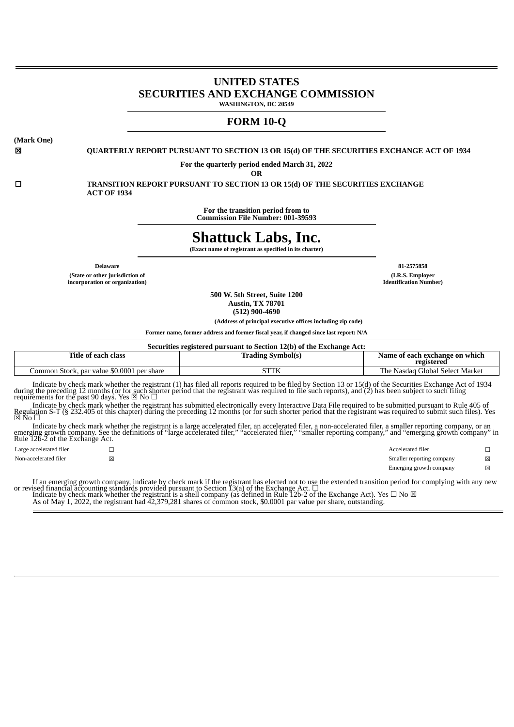# **UNITED STATES SECURITIES AND EXCHANGE COMMISSION WASHINGTON, DC 20549**

# **FORM 10-Q**

**(Mark One)**

☒ **QUARTERLY REPORT PURSUANT TO SECTION 13 OR 15(d) OF THE SECURITIES EXCHANGE ACT OF 1934**

**For the quarterly period ended March 31, 2022**

**OR**

☐ **TRANSITION REPORT PURSUANT TO SECTION 13 OR 15(d) OF THE SECURITIES EXCHANGE ACT OF 1934**

> **For the transition period from to Commission File Number: 001-39593**

# **Shattuck Labs, Inc.**

**(Exact name of registrant as specified in its charter)**

**(State or other jurisdiction of incorporation or organization)**

**Delaware 81-2575858 (I.R.S. Employer Identification Number)**

> **500 W. 5th Street, Suite 1200 Austin, TX 78701**

**(512) 900-4690**

**(Address of principal executive offices including zip code)**

**Former name, former address and former fiscal year, if changed since last report: N/A**

| Securities registered pursuant to Section 12(b) of the Exchange Act: |                          |                                              |  |  |  |  |  |  |  |  |  |
|----------------------------------------------------------------------|--------------------------|----------------------------------------------|--|--|--|--|--|--|--|--|--|
| Title of each class                                                  | <b>Trading Symbol(s)</b> | Name of each exchange on which<br>registered |  |  |  |  |  |  |  |  |  |
| Common Stock, par value \$0.0001 per share                           | STTK                     | The Nasdag Global Select Market              |  |  |  |  |  |  |  |  |  |

Indicate by check mark whether the registrant (1) has filed all reports required to be filed by Section 13 or 15(d) of the Securities Exchange Act of 1934 during the preceding 12 months (or for such shorter period that th

Indicate by check mark whether the registrant has submitted electronically every Interactive Data File required to be submitted pursuant to Rule 405 of Regulation S-T (§ 232.405 of this chapter) during the preceding 12 mo

Indicate by check mark whether the registrant is a large accelerated filer, an accelerated filer, a non-accelerated filer, a smaller reporting company, or an<br>emerging growth company. See the definitions of "large accelerat

Large accelerated filer ☐ Accelerated filer ☐ Non-accelerated filer **<u>⊠</u>** △ Smaller reporting company **⊠** Emerging growth company  $\boxtimes$ 

If an emerging growth company, indicate by check mark if the registrant has elected not to use the extended transition period for complying with any new or revised financial accounting standards provided pursuant to Secti

As of May 1, 2022, the registrant had  $\overline{4}2,379,281$  shares of common stock, \$0.0001 par value per share, outstanding.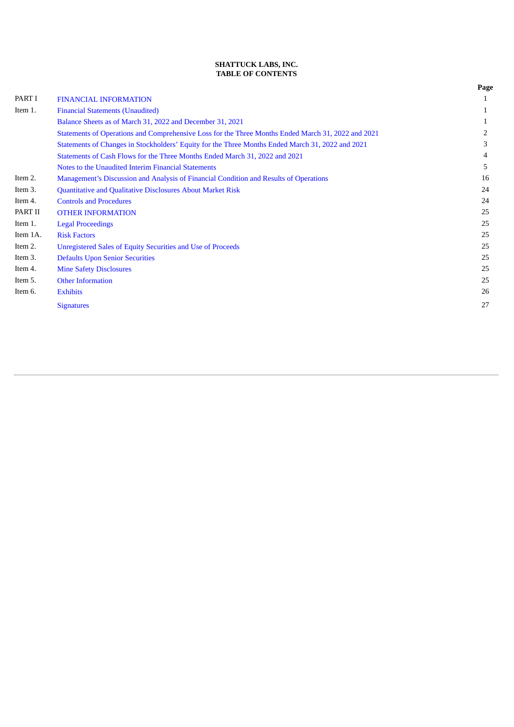# **SHATTUCK LABS, INC. TABLE OF CONTENTS**

|          |                                                                                                    | Page |
|----------|----------------------------------------------------------------------------------------------------|------|
| PART I   | <b>FINANCIAL INFORMATION</b>                                                                       | 1    |
| Item 1.  | <b>Financial Statements (Unaudited)</b>                                                            | 1    |
|          | Balance Sheets as of March 31, 2022 and December 31, 2021                                          | 1    |
|          | Statements of Operations and Comprehensive Loss for the Three Months Ended March 31, 2022 and 2021 | 2    |
|          | Statements of Changes in Stockholders' Equity for the Three Months Ended March 31, 2022 and 2021   | 3    |
|          | Statements of Cash Flows for the Three Months Ended March 31, 2022 and 2021                        | 4    |
|          | Notes to the Unaudited Interim Financial Statements                                                | 5    |
| Item 2.  | Management's Discussion and Analysis of Financial Condition and Results of Operations              | 16   |
| Item 3.  | Quantitative and Qualitative Disclosures About Market Risk                                         | 24   |
| Item 4.  | <b>Controls and Procedures</b>                                                                     | 24   |
| PART II  | <b>OTHER INFORMATION</b>                                                                           | 25   |
| Item 1.  | <b>Legal Proceedings</b>                                                                           | 25   |
| Item 1A. | <b>Risk Factors</b>                                                                                | 25   |
| Item 2.  | Unregistered Sales of Equity Securities and Use of Proceeds                                        | 25   |
| Item 3.  | <b>Defaults Upon Senior Securities</b>                                                             | 25   |
| Item 4.  | <b>Mine Safety Disclosures</b>                                                                     | 25   |
| Item 5.  | <b>Other Information</b>                                                                           | 25   |
| Item 6.  | <b>Exhibits</b>                                                                                    | 26   |
|          | <b>Signatures</b>                                                                                  | 27   |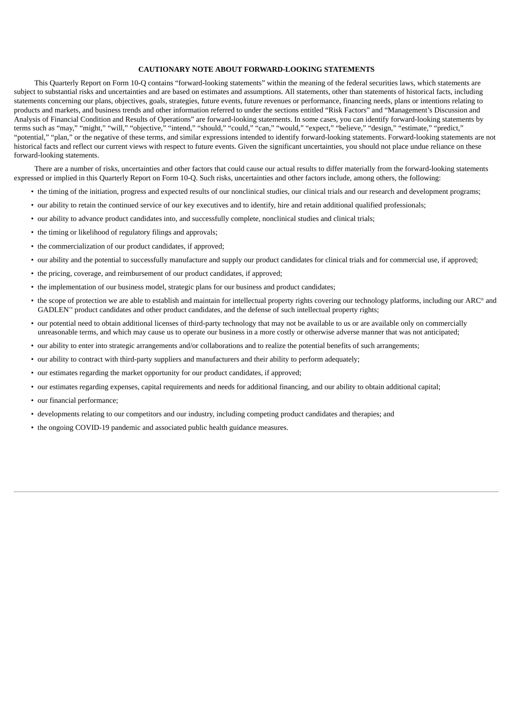# **CAUTIONARY NOTE ABOUT FORWARD-LOOKING STATEMENTS**

This Quarterly Report on Form 10-Q contains "forward-looking statements" within the meaning of the federal securities laws, which statements are subject to substantial risks and uncertainties and are based on estimates and assumptions. All statements, other than statements of historical facts, including statements concerning our plans, objectives, goals, strategies, future events, future revenues or performance, financing needs, plans or intentions relating to products and markets, and business trends and other information referred to under the sections entitled "Risk Factors" and "Management's Discussion and Analysis of Financial Condition and Results of Operations" are forward-looking statements. In some cases, you can identify forward-looking statements by terms such as "may," "might," "will," "objective," "intend," "should," "could," "can," "would," "expect," "believe," "design," "estimate," "predict," "potential," "plan," or the negative of these terms, and similar expressions intended to identify forward-looking statements. Forward-looking statements are not historical facts and reflect our current views with respect to future events. Given the significant uncertainties, you should not place undue reliance on these forward-looking statements.

There are a number of risks, uncertainties and other factors that could cause our actual results to differ materially from the forward-looking statements expressed or implied in this Quarterly Report on Form 10-Q. Such risks, uncertainties and other factors include, among others, the following:

- the timing of the initiation, progress and expected results of our nonclinical studies, our clinical trials and our research and development programs;
- our ability to retain the continued service of our key executives and to identify, hire and retain additional qualified professionals;
- our ability to advance product candidates into, and successfully complete, nonclinical studies and clinical trials;
- the timing or likelihood of regulatory filings and approvals;
- the commercialization of our product candidates, if approved;
- our ability and the potential to successfully manufacture and supply our product candidates for clinical trials and for commercial use, if approved;
- the pricing, coverage, and reimbursement of our product candidates, if approved;
- the implementation of our business model, strategic plans for our business and product candidates;
- the scope of protection we are able to establish and maintain for intellectual property rights covering our technology platforms, including our ARC® and GADLEN<sup>™</sup> product candidates and other product candidates, and the defense of such intellectual property rights;
- our potential need to obtain additional licenses of third-party technology that may not be available to us or are available only on commercially unreasonable terms, and which may cause us to operate our business in a more costly or otherwise adverse manner that was not anticipated;
- our ability to enter into strategic arrangements and/or collaborations and to realize the potential benefits of such arrangements;
- our ability to contract with third-party suppliers and manufacturers and their ability to perform adequately;
- our estimates regarding the market opportunity for our product candidates, if approved;
- our estimates regarding expenses, capital requirements and needs for additional financing, and our ability to obtain additional capital;
- our financial performance;
- developments relating to our competitors and our industry, including competing product candidates and therapies; and
- the ongoing COVID-19 pandemic and associated public health guidance measures.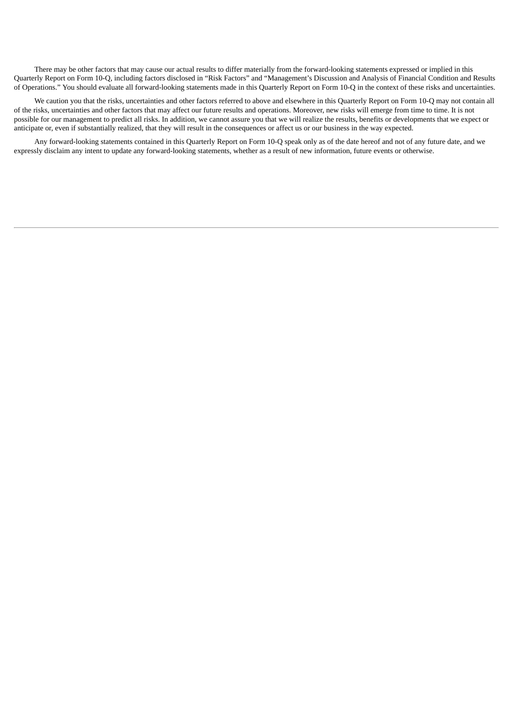There may be other factors that may cause our actual results to differ materially from the forward-looking statements expressed or implied in this Quarterly Report on Form 10-Q, including factors disclosed in "Risk Factors" and "Management's Discussion and Analysis of Financial Condition and Results of Operations." You should evaluate all forward-looking statements made in this Quarterly Report on Form 10-Q in the context of these risks and uncertainties.

We caution you that the risks, uncertainties and other factors referred to above and elsewhere in this Quarterly Report on Form 10-Q may not contain all of the risks, uncertainties and other factors that may affect our future results and operations. Moreover, new risks will emerge from time to time. It is not possible for our management to predict all risks. In addition, we cannot assure you that we will realize the results, benefits or developments that we expect or anticipate or, even if substantially realized, that they will result in the consequences or affect us or our business in the way expected.

<span id="page-3-0"></span>Any forward-looking statements contained in this Quarterly Report on Form 10-Q speak only as of the date hereof and not of any future date, and we expressly disclaim any intent to update any forward-looking statements, whether as a result of new information, future events or otherwise.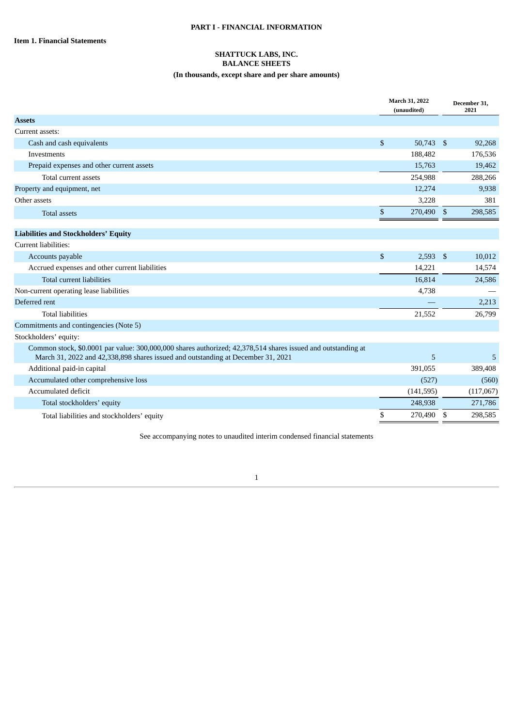# **PART I - FINANCIAL INFORMATION**

# **SHATTUCK LABS, INC. BALANCE SHEETS (In thousands, except share and per share amounts)**

|                                                                                                                                                                                                  |              | March 31, 2022<br>(unaudited) |                | December 31,<br>2021 |
|--------------------------------------------------------------------------------------------------------------------------------------------------------------------------------------------------|--------------|-------------------------------|----------------|----------------------|
| <b>Assets</b>                                                                                                                                                                                    |              |                               |                |                      |
| Current assets:                                                                                                                                                                                  |              |                               |                |                      |
| Cash and cash equivalents                                                                                                                                                                        | \$           | 50,743 \$                     |                | 92,268               |
| Investments                                                                                                                                                                                      |              | 188,482                       |                | 176,536              |
| Prepaid expenses and other current assets                                                                                                                                                        |              | 15,763                        |                | 19,462               |
| Total current assets                                                                                                                                                                             |              | 254,988                       |                | 288,266              |
| Property and equipment, net                                                                                                                                                                      |              | 12,274                        |                | 9,938                |
| Other assets                                                                                                                                                                                     |              | 3,228                         |                | 381                  |
| <b>Total assets</b>                                                                                                                                                                              | \$           | 270,490                       | $\mathfrak{S}$ | 298,585              |
| <b>Liabilities and Stockholders' Equity</b>                                                                                                                                                      |              |                               |                |                      |
| Current liabilities:                                                                                                                                                                             |              |                               |                |                      |
| Accounts payable                                                                                                                                                                                 | $\mathbb{S}$ | $2,593$ \$                    |                | 10,012               |
| Accrued expenses and other current liabilities                                                                                                                                                   |              | 14,221                        |                | 14,574               |
| Total current liabilities                                                                                                                                                                        |              | 16,814                        |                | 24,586               |
| Non-current operating lease liabilities                                                                                                                                                          |              | 4,738                         |                |                      |
| Deferred rent                                                                                                                                                                                    |              |                               |                | 2,213                |
| <b>Total liabilities</b>                                                                                                                                                                         |              | 21,552                        |                | 26,799               |
| Commitments and contingencies (Note 5)                                                                                                                                                           |              |                               |                |                      |
| Stockholders' equity:                                                                                                                                                                            |              |                               |                |                      |
| Common stock, \$0.0001 par value: 300,000,000 shares authorized; 42,378,514 shares issued and outstanding at<br>March 31, 2022 and 42,338,898 shares issued and outstanding at December 31, 2021 |              | 5                             |                | 5                    |
| Additional paid-in capital                                                                                                                                                                       |              | 391,055                       |                | 389,408              |
| Accumulated other comprehensive loss                                                                                                                                                             |              | (527)                         |                | (560)                |
| Accumulated deficit                                                                                                                                                                              |              | (141, 595)                    |                | (117,067)            |
| Total stockholders' equity                                                                                                                                                                       |              | 248,938                       |                | 271,786              |
| Total liabilities and stockholders' equity                                                                                                                                                       | \$           | 270,490                       | \$             | 298,585              |
|                                                                                                                                                                                                  |              |                               |                |                      |

<span id="page-4-0"></span>See accompanying notes to unaudited interim condensed financial statements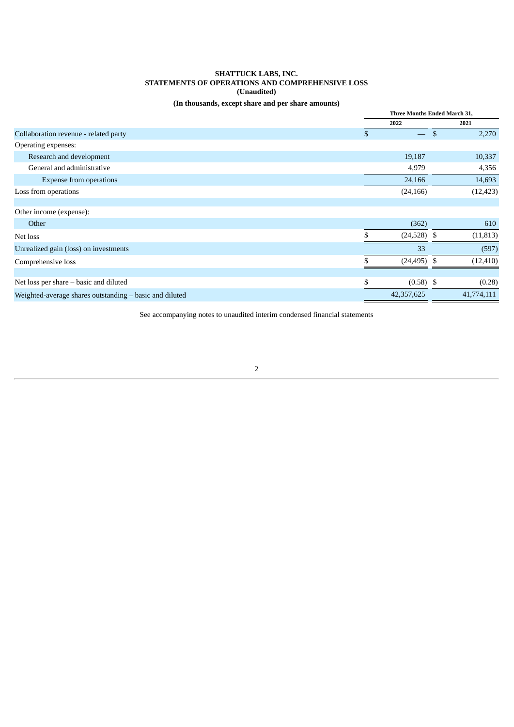# **SHATTUCK LABS, INC. STATEMENTS OF OPERATIONS AND COMPREHENSIVE LOSS (Unaudited)**

# **(In thousands, except share and per share amounts)**

|                                                         | <b>Three Months Ended March 31,</b> |     |            |
|---------------------------------------------------------|-------------------------------------|-----|------------|
|                                                         | 2022                                |     | 2021       |
| Collaboration revenue - related party                   | \$<br>$\overline{\phantom{m}}$      | -\$ | 2,270      |
| Operating expenses:                                     |                                     |     |            |
| Research and development                                | 19,187                              |     | 10,337     |
| General and administrative                              | 4,979                               |     | 4,356      |
| <b>Expense from operations</b>                          | 24,166                              |     | 14,693     |
| Loss from operations                                    | (24, 166)                           |     | (12, 423)  |
|                                                         |                                     |     |            |
| Other income (expense):                                 |                                     |     |            |
| Other                                                   | (362)                               |     | 610        |
| Net loss                                                | \$<br>$(24,528)$ \$                 |     | (11, 813)  |
| Unrealized gain (loss) on investments                   | 33                                  |     | (597)      |
| Comprehensive loss                                      | \$<br>$(24, 495)$ \$                |     | (12, 410)  |
|                                                         |                                     |     |            |
| Net loss per share – basic and diluted                  | \$<br>$(0.58)$ \$                   |     | (0.28)     |
| Weighted-average shares outstanding - basic and diluted | 42,357,625                          |     | 41,774,111 |

<span id="page-5-0"></span>See accompanying notes to unaudited interim condensed financial statements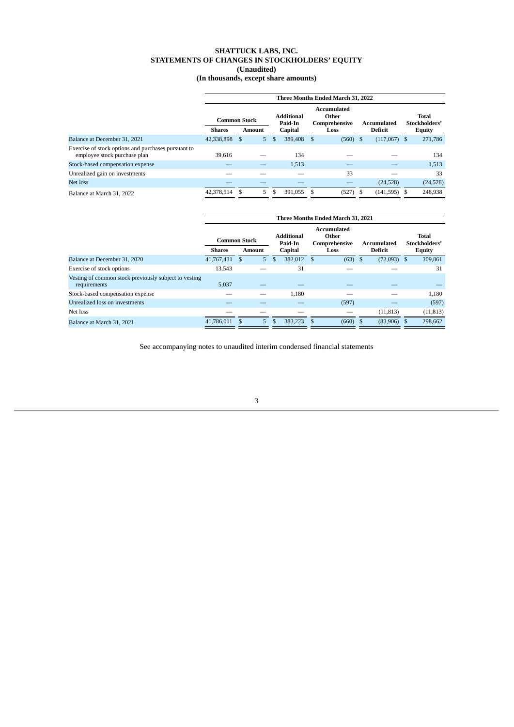# **SHATTUCK LABS, INC. STATEMENTS OF CHANGES IN STOCKHOLDERS' EQUITY (Unaudited)**

| (In thousands, except share amounts) |  |  |
|--------------------------------------|--|--|
|--------------------------------------|--|--|

|                                                                                     | Three Months Ended March 31, 2022    |               |   |                                                |                                               |      |       |                        |                                                |   |          |  |  |
|-------------------------------------------------------------------------------------|--------------------------------------|---------------|---|------------------------------------------------|-----------------------------------------------|------|-------|------------------------|------------------------------------------------|---|----------|--|--|
|                                                                                     | <b>Common Stock</b><br><b>Shares</b> | <b>Amount</b> |   | <b>Additional</b><br>Paid-In<br><b>Capital</b> | Accumulated<br>Other<br>Comprehensive<br>Loss |      |       | Accumulated<br>Deficit | <b>Total</b><br>Stockholders'<br><b>Equity</b> |   |          |  |  |
| Balance at December 31, 2021                                                        | 42,338,898                           | S             | 5 | \$                                             | 389,408                                       | -S   | (560) |                        | (117,067)                                      | S | 271,786  |  |  |
| Exercise of stock options and purchases pursuant to<br>employee stock purchase plan | 39.616                               |               |   |                                                | 134                                           |      |       |                        |                                                |   | 134      |  |  |
| Stock-based compensation expense                                                    |                                      |               |   |                                                | 1,513                                         |      |       |                        |                                                |   | 1,513    |  |  |
| Unrealized gain on investments                                                      |                                      |               |   |                                                |                                               |      | 33    |                        |                                                |   | 33       |  |  |
| Net loss                                                                            |                                      |               |   |                                                |                                               |      |       |                        | (24,528)                                       |   | (24,528) |  |  |
| Balance at March 31, 2022                                                           | 42,378,514 \$                        |               | 5 | \$                                             | 391,055                                       | - \$ | (527) |                        | $(141,595)$ \$                                 |   | 248,938  |  |  |
|                                                                                     |                                      |               |   |                                                |                                               |      |       |                        |                                                |   |          |  |  |

|                                                                       |                     |    |                |                              |      | Three Months Ended March 31, 2021     |               |               |                               |  |
|-----------------------------------------------------------------------|---------------------|----|----------------|------------------------------|------|---------------------------------------|---------------|---------------|-------------------------------|--|
|                                                                       | <b>Common Stock</b> |    |                | <b>Additional</b><br>Paid-In |      | Accumulated<br>Other<br>Comprehensive | Accumulated   |               | <b>Total</b><br>Stockholders' |  |
|                                                                       | Shares              |    | Amount         | Capital                      | Loss |                                       | Deficit       | <b>Equity</b> |                               |  |
| Balance at December 31, 2020                                          | 41,767,431          | -S | 5 <sup>1</sup> | \$<br>382,012                | \$   | $(63)$ \$                             | $(72,093)$ \$ |               | 309,861                       |  |
| Exercise of stock options                                             | 13.543              |    |                | 31                           |      |                                       |               |               | 31                            |  |
| Vesting of common stock previously subject to vesting<br>requirements | 5,037               |    |                |                              |      |                                       |               |               |                               |  |
| Stock-based compensation expense                                      |                     |    |                | 1.180                        |      |                                       |               |               | 1,180                         |  |
| Unrealized loss on investments                                        |                     |    |                |                              |      | (597)                                 |               |               | (597)                         |  |
| Net loss                                                              |                     |    |                |                              |      |                                       | (11, 813)     |               | (11, 813)                     |  |
| Balance at March 31, 2021                                             | 41.786.011 \$       |    | $5^{\circ}$    | \$<br>383.223 \$             |      | $(660)$ \$                            | $(83,906)$ \$ |               | 298,662                       |  |

<span id="page-6-0"></span>See accompanying notes to unaudited interim condensed financial statements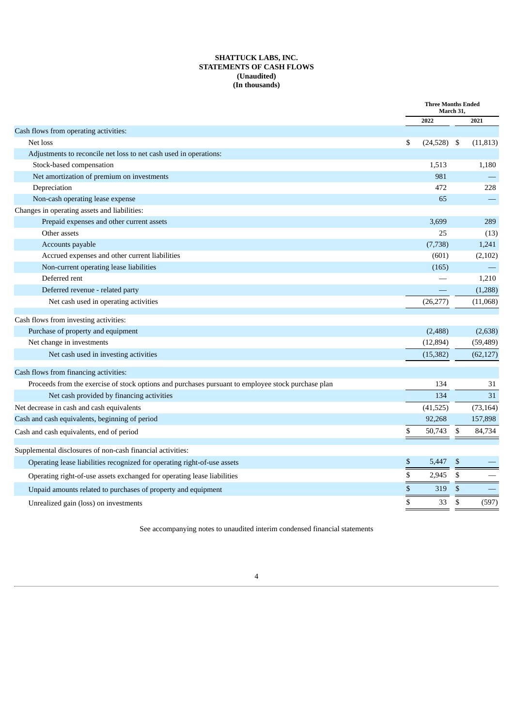# **SHATTUCK LABS, INC. STATEMENTS OF CASH FLOWS (Unaudited) (In thousands)**

|                                                                                                    | <b>Three Months Ended</b> | March 31,    |           |
|----------------------------------------------------------------------------------------------------|---------------------------|--------------|-----------|
|                                                                                                    | 2022                      |              | 2021      |
| Cash flows from operating activities:                                                              |                           |              |           |
| Net loss                                                                                           | \$<br>$(24,528)$ \$       |              | (11, 813) |
| Adjustments to reconcile net loss to net cash used in operations:                                  |                           |              |           |
| Stock-based compensation                                                                           | 1,513                     |              | 1,180     |
| Net amortization of premium on investments                                                         | 981                       |              |           |
| Depreciation                                                                                       | 472                       |              | 228       |
| Non-cash operating lease expense                                                                   | 65                        |              |           |
| Changes in operating assets and liabilities:                                                       |                           |              |           |
| Prepaid expenses and other current assets                                                          | 3,699                     |              | 289       |
| Other assets                                                                                       | 25                        |              | (13)      |
| Accounts payable                                                                                   | (7, 738)                  |              | 1,241     |
| Accrued expenses and other current liabilities                                                     | (601)                     |              | (2,102)   |
| Non-current operating lease liabilities                                                            | (165)                     |              |           |
| Deferred rent                                                                                      |                           |              | 1,210     |
| Deferred revenue - related party                                                                   |                           |              | (1,288)   |
| Net cash used in operating activities                                                              | (26, 277)                 |              | (11,068)  |
| Cash flows from investing activities:                                                              |                           |              |           |
| Purchase of property and equipment                                                                 | (2,488)                   |              | (2,638)   |
| Net change in investments                                                                          | (12, 894)                 |              | (59, 489) |
| Net cash used in investing activities                                                              | (15, 382)                 |              | (62, 127) |
| Cash flows from financing activities:                                                              |                           |              |           |
| Proceeds from the exercise of stock options and purchases pursuant to employee stock purchase plan | 134                       |              | 31        |
| Net cash provided by financing activities                                                          | 134                       |              | 31        |
| Net decrease in cash and cash equivalents                                                          | (41,525)                  |              | (73, 164) |
| Cash and cash equivalents, beginning of period                                                     | 92,268                    |              | 157,898   |
| Cash and cash equivalents, end of period                                                           | \$<br>50,743              | $\mathbb{S}$ | 84,734    |
| Supplemental disclosures of non-cash financial activities:                                         |                           |              |           |
| Operating lease liabilities recognized for operating right-of-use assets                           | \$<br>5,447               | \$           |           |
| Operating right-of-use assets exchanged for operating lease liabilities                            | \$<br>2,945               | \$           |           |
| Unpaid amounts related to purchases of property and equipment                                      | \$<br>319                 | \$           |           |
| Unrealized gain (loss) on investments                                                              | \$<br>33                  | \$           | (597)     |

<span id="page-7-0"></span>See accompanying notes to unaudited interim condensed financial statements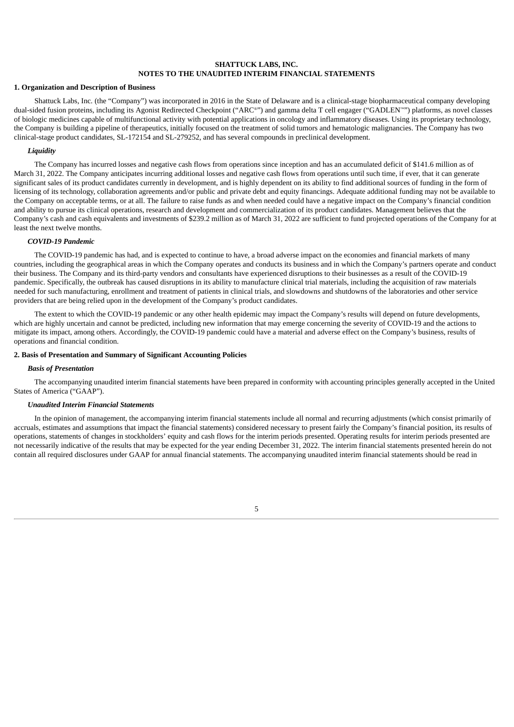# **SHATTUCK LABS, INC. NOTES TO THE UNAUDITED INTERIM FINANCIAL STATEMENTS**

#### **1. Organization and Description of Business**

Shattuck Labs, Inc. (the "Company") was incorporated in 2016 in the State of Delaware and is a clinical-stage biopharmaceutical company developing dual-sided fusion proteins, including its Agonist Redirected Checkpoint ("ARC®") and gamma delta T cell engager ("GADLEN™") platforms, as novel classes of biologic medicines capable of multifunctional activity with potential applications in oncology and inflammatory diseases. Using its proprietary technology, the Company is building a pipeline of therapeutics, initially focused on the treatment of solid tumors and hematologic malignancies. The Company has two clinical-stage product candidates, SL-172154 and SL-279252, and has several compounds in preclinical development.

# *Liquidity*

The Company has incurred losses and negative cash flows from operations since inception and has an accumulated deficit of \$141.6 million as of March 31, 2022. The Company anticipates incurring additional losses and negative cash flows from operations until such time, if ever, that it can generate significant sales of its product candidates currently in development, and is highly dependent on its ability to find additional sources of funding in the form of licensing of its technology, collaboration agreements and/or public and private debt and equity financings. Adequate additional funding may not be available to the Company on acceptable terms, or at all. The failure to raise funds as and when needed could have a negative impact on the Company's financial condition and ability to pursue its clinical operations, research and development and commercialization of its product candidates. Management believes that the Company's cash and cash equivalents and investments of \$239.2 million as of March 31, 2022 are sufficient to fund projected operations of the Company for at least the next twelve months.

# *COVID-19 Pandemic*

The COVID-19 pandemic has had, and is expected to continue to have, a broad adverse impact on the economies and financial markets of many countries, including the geographical areas in which the Company operates and conducts its business and in which the Company's partners operate and conduct their business. The Company and its third-party vendors and consultants have experienced disruptions to their businesses as a result of the COVID-19 pandemic. Specifically, the outbreak has caused disruptions in its ability to manufacture clinical trial materials, including the acquisition of raw materials needed for such manufacturing, enrollment and treatment of patients in clinical trials, and slowdowns and shutdowns of the laboratories and other service providers that are being relied upon in the development of the Company's product candidates.

The extent to which the COVID-19 pandemic or any other health epidemic may impact the Company's results will depend on future developments, which are highly uncertain and cannot be predicted, including new information that may emerge concerning the severity of COVID-19 and the actions to mitigate its impact, among others. Accordingly, the COVID-19 pandemic could have a material and adverse effect on the Company's business, results of operations and financial condition.

# **2. Basis of Presentation and Summary of Significant Accounting Policies**

#### *Basis of Presentation*

The accompanying unaudited interim financial statements have been prepared in conformity with accounting principles generally accepted in the United States of America ("GAAP").

#### *Unaudited Interim Financial Statements*

In the opinion of management, the accompanying interim financial statements include all normal and recurring adjustments (which consist primarily of accruals, estimates and assumptions that impact the financial statements) considered necessary to present fairly the Company's financial position, its results of operations, statements of changes in stockholders' equity and cash flows for the interim periods presented. Operating results for interim periods presented are not necessarily indicative of the results that may be expected for the year ending December 31, 2022. The interim financial statements presented herein do not contain all required disclosures under GAAP for annual financial statements. The accompanying unaudited interim financial statements should be read in

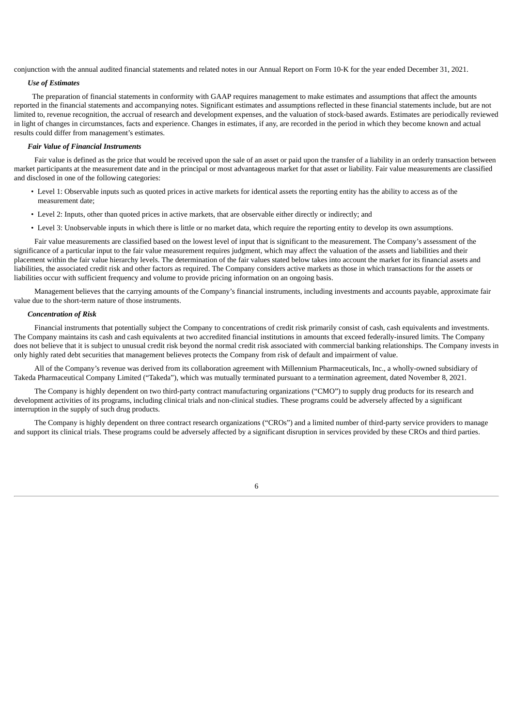conjunction with the annual audited financial statements and related notes in our Annual Report on Form 10-K for the year ended December 31, 2021.

## *Use of Estimates*

The preparation of financial statements in conformity with GAAP requires management to make estimates and assumptions that affect the amounts reported in the financial statements and accompanying notes. Significant estimates and assumptions reflected in these financial statements include, but are not limited to, revenue recognition, the accrual of research and development expenses, and the valuation of stock-based awards. Estimates are periodically reviewed in light of changes in circumstances, facts and experience. Changes in estimates, if any, are recorded in the period in which they become known and actual results could differ from management's estimates.

# *Fair Value of Financial Instruments*

Fair value is defined as the price that would be received upon the sale of an asset or paid upon the transfer of a liability in an orderly transaction between market participants at the measurement date and in the principal or most advantageous market for that asset or liability. Fair value measurements are classified and disclosed in one of the following categories:

- Level 1: Observable inputs such as quoted prices in active markets for identical assets the reporting entity has the ability to access as of the measurement date;
- Level 2: Inputs, other than quoted prices in active markets, that are observable either directly or indirectly; and
- Level 3: Unobservable inputs in which there is little or no market data, which require the reporting entity to develop its own assumptions.

Fair value measurements are classified based on the lowest level of input that is significant to the measurement. The Company's assessment of the significance of a particular input to the fair value measurement requires judgment, which may affect the valuation of the assets and liabilities and their placement within the fair value hierarchy levels. The determination of the fair values stated below takes into account the market for its financial assets and liabilities, the associated credit risk and other factors as required. The Company considers active markets as those in which transactions for the assets or liabilities occur with sufficient frequency and volume to provide pricing information on an ongoing basis.

Management believes that the carrying amounts of the Company's financial instruments, including investments and accounts payable, approximate fair value due to the short-term nature of those instruments.

#### *Concentration of Risk*

Financial instruments that potentially subject the Company to concentrations of credit risk primarily consist of cash, cash equivalents and investments. The Company maintains its cash and cash equivalents at two accredited financial institutions in amounts that exceed federally-insured limits. The Company does not believe that it is subject to unusual credit risk beyond the normal credit risk associated with commercial banking relationships. The Company invests in only highly rated debt securities that management believes protects the Company from risk of default and impairment of value.

All of the Company's revenue was derived from its collaboration agreement with Millennium Pharmaceuticals, Inc., a wholly-owned subsidiary of Takeda Pharmaceutical Company Limited ("Takeda"), which was mutually terminated pursuant to a termination agreement, dated November 8, 2021.

The Company is highly dependent on two third-party contract manufacturing organizations ("CMO") to supply drug products for its research and development activities of its programs, including clinical trials and non-clinical studies. These programs could be adversely affected by a significant interruption in the supply of such drug products.

The Company is highly dependent on three contract research organizations ("CROs") and a limited number of third-party service providers to manage and support its clinical trials. These programs could be adversely affected by a significant disruption in services provided by these CROs and third parties.

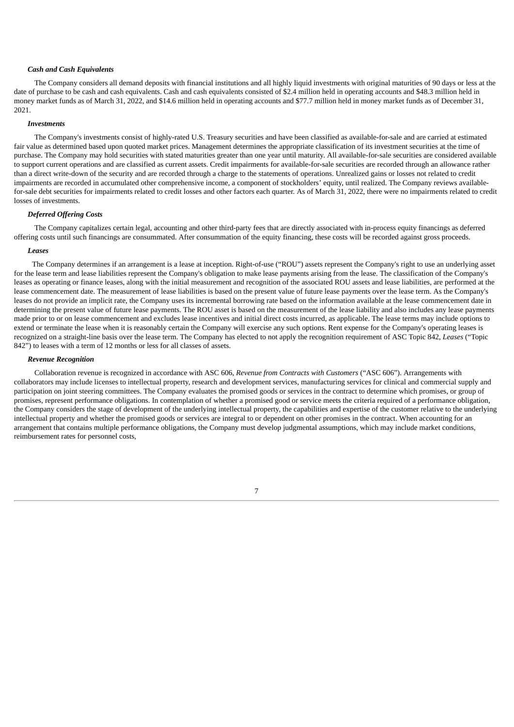#### *Cash and Cash Equivalents*

The Company considers all demand deposits with financial institutions and all highly liquid investments with original maturities of 90 days or less at the date of purchase to be cash and cash equivalents. Cash and cash equivalents consisted of \$2.4 million held in operating accounts and \$48.3 million held in money market funds as of March 31, 2022, and \$14.6 million held in operating accounts and \$77.7 million held in money market funds as of December 31, 2021.

#### *Investments*

The Company's investments consist of highly-rated U.S. Treasury securities and have been classified as available-for-sale and are carried at estimated fair value as determined based upon quoted market prices. Management determines the appropriate classification of its investment securities at the time of purchase. The Company may hold securities with stated maturities greater than one year until maturity. All available-for-sale securities are considered available to support current operations and are classified as current assets. Credit impairments for available-for-sale securities are recorded through an allowance rather than a direct write-down of the security and are recorded through a charge to the statements of operations. Unrealized gains or losses not related to credit impairments are recorded in accumulated other comprehensive income, a component of stockholders' equity, until realized. The Company reviews availablefor-sale debt securities for impairments related to credit losses and other factors each quarter. As of March 31, 2022, there were no impairments related to credit losses of investments.

### *Deferred Offering Costs*

The Company capitalizes certain legal, accounting and other third-party fees that are directly associated with in-process equity financings as deferred offering costs until such financings are consummated. After consummation of the equity financing, these costs will be recorded against gross proceeds.

#### *Leases*

The Company determines if an arrangement is a lease at inception. Right-of-use ("ROU") assets represent the Company's right to use an underlying asset for the lease term and lease liabilities represent the Company's obligation to make lease payments arising from the lease. The classification of the Company's leases as operating or finance leases, along with the initial measurement and recognition of the associated ROU assets and lease liabilities, are performed at the lease commencement date. The measurement of lease liabilities is based on the present value of future lease payments over the lease term. As the Company's leases do not provide an implicit rate, the Company uses its incremental borrowing rate based on the information available at the lease commencement date in determining the present value of future lease payments. The ROU asset is based on the measurement of the lease liability and also includes any lease payments made prior to or on lease commencement and excludes lease incentives and initial direct costs incurred, as applicable. The lease terms may include options to extend or terminate the lease when it is reasonably certain the Company will exercise any such options. Rent expense for the Company's operating leases is recognized on a straight-line basis over the lease term. The Company has elected to not apply the recognition requirement of ASC Topic 842, *Leases* ("Topic 842") to leases with a term of 12 months or less for all classes of assets.

#### *Revenue Recognition*

Collaboration revenue is recognized in accordance with ASC 606, *Revenue from Contracts with Customers* ("ASC 606"). Arrangements with collaborators may include licenses to intellectual property, research and development services, manufacturing services for clinical and commercial supply and participation on joint steering committees. The Company evaluates the promised goods or services in the contract to determine which promises, or group of promises, represent performance obligations. In contemplation of whether a promised good or service meets the criteria required of a performance obligation, the Company considers the stage of development of the underlying intellectual property, the capabilities and expertise of the customer relative to the underlying intellectual property and whether the promised goods or services are integral to or dependent on other promises in the contract. When accounting for an arrangement that contains multiple performance obligations, the Company must develop judgmental assumptions, which may include market conditions, reimbursement rates for personnel costs,

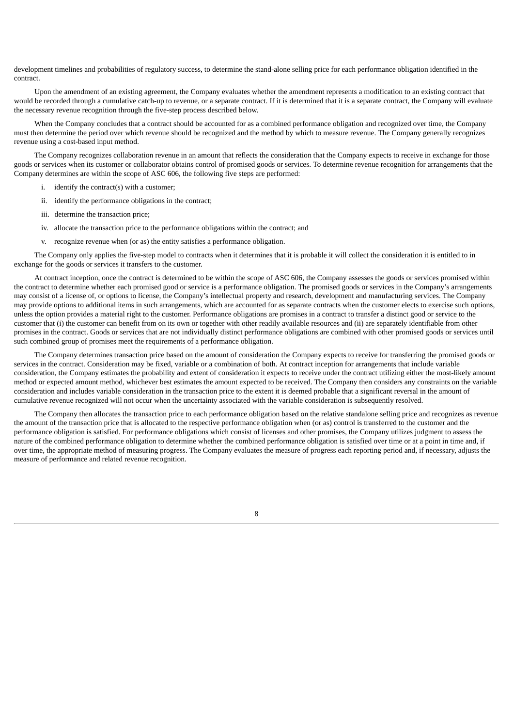development timelines and probabilities of regulatory success, to determine the stand-alone selling price for each performance obligation identified in the contract.

Upon the amendment of an existing agreement, the Company evaluates whether the amendment represents a modification to an existing contract that would be recorded through a cumulative catch-up to revenue, or a separate contract. If it is determined that it is a separate contract, the Company will evaluate the necessary revenue recognition through the five-step process described below.

When the Company concludes that a contract should be accounted for as a combined performance obligation and recognized over time, the Company must then determine the period over which revenue should be recognized and the method by which to measure revenue. The Company generally recognizes revenue using a cost-based input method.

The Company recognizes collaboration revenue in an amount that reflects the consideration that the Company expects to receive in exchange for those goods or services when its customer or collaborator obtains control of promised goods or services. To determine revenue recognition for arrangements that the Company determines are within the scope of ASC 606, the following five steps are performed:

- i. identify the contract(s) with a customer;
- ii. identify the performance obligations in the contract;
- iii. determine the transaction price;
- iv. allocate the transaction price to the performance obligations within the contract; and
- v. recognize revenue when (or as) the entity satisfies a performance obligation.

The Company only applies the five-step model to contracts when it determines that it is probable it will collect the consideration it is entitled to in exchange for the goods or services it transfers to the customer.

At contract inception, once the contract is determined to be within the scope of ASC 606, the Company assesses the goods or services promised within the contract to determine whether each promised good or service is a performance obligation. The promised goods or services in the Company's arrangements may consist of a license of, or options to license, the Company's intellectual property and research, development and manufacturing services. The Company may provide options to additional items in such arrangements, which are accounted for as separate contracts when the customer elects to exercise such options, unless the option provides a material right to the customer. Performance obligations are promises in a contract to transfer a distinct good or service to the customer that (i) the customer can benefit from on its own or together with other readily available resources and (ii) are separately identifiable from other promises in the contract. Goods or services that are not individually distinct performance obligations are combined with other promised goods or services until such combined group of promises meet the requirements of a performance obligation.

The Company determines transaction price based on the amount of consideration the Company expects to receive for transferring the promised goods or services in the contract. Consideration may be fixed, variable or a combination of both. At contract inception for arrangements that include variable consideration, the Company estimates the probability and extent of consideration it expects to receive under the contract utilizing either the most-likely amount method or expected amount method, whichever best estimates the amount expected to be received. The Company then considers any constraints on the variable consideration and includes variable consideration in the transaction price to the extent it is deemed probable that a significant reversal in the amount of cumulative revenue recognized will not occur when the uncertainty associated with the variable consideration is subsequently resolved.

The Company then allocates the transaction price to each performance obligation based on the relative standalone selling price and recognizes as revenue the amount of the transaction price that is allocated to the respective performance obligation when (or as) control is transferred to the customer and the performance obligation is satisfied. For performance obligations which consist of licenses and other promises, the Company utilizes judgment to assess the nature of the combined performance obligation to determine whether the combined performance obligation is satisfied over time or at a point in time and, if over time, the appropriate method of measuring progress. The Company evaluates the measure of progress each reporting period and, if necessary, adjusts the measure of performance and related revenue recognition.

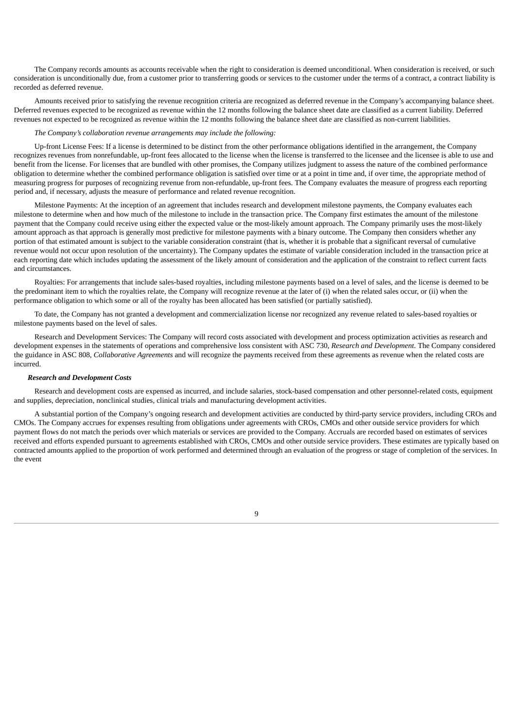The Company records amounts as accounts receivable when the right to consideration is deemed unconditional. When consideration is received, or such consideration is unconditionally due, from a customer prior to transferring goods or services to the customer under the terms of a contract, a contract liability is recorded as deferred revenue.

Amounts received prior to satisfying the revenue recognition criteria are recognized as deferred revenue in the Company's accompanying balance sheet. Deferred revenues expected to be recognized as revenue within the 12 months following the balance sheet date are classified as a current liability. Deferred revenues not expected to be recognized as revenue within the 12 months following the balance sheet date are classified as non-current liabilities.

*The Company's collaboration revenue arrangements may include the following:*

Up-front License Fees: If a license is determined to be distinct from the other performance obligations identified in the arrangement, the Company recognizes revenues from nonrefundable, up-front fees allocated to the license when the license is transferred to the licensee and the licensee is able to use and benefit from the license. For licenses that are bundled with other promises, the Company utilizes judgment to assess the nature of the combined performance obligation to determine whether the combined performance obligation is satisfied over time or at a point in time and, if over time, the appropriate method of measuring progress for purposes of recognizing revenue from non-refundable, up-front fees. The Company evaluates the measure of progress each reporting period and, if necessary, adjusts the measure of performance and related revenue recognition.

Milestone Payments: At the inception of an agreement that includes research and development milestone payments, the Company evaluates each milestone to determine when and how much of the milestone to include in the transaction price. The Company first estimates the amount of the milestone payment that the Company could receive using either the expected value or the most-likely amount approach. The Company primarily uses the most-likely amount approach as that approach is generally most predictive for milestone payments with a binary outcome. The Company then considers whether any portion of that estimated amount is subject to the variable consideration constraint (that is, whether it is probable that a significant reversal of cumulative revenue would not occur upon resolution of the uncertainty). The Company updates the estimate of variable consideration included in the transaction price at each reporting date which includes updating the assessment of the likely amount of consideration and the application of the constraint to reflect current facts and circumstances.

Royalties: For arrangements that include sales-based royalties, including milestone payments based on a level of sales, and the license is deemed to be the predominant item to which the royalties relate, the Company will recognize revenue at the later of (i) when the related sales occur, or (ii) when the performance obligation to which some or all of the royalty has been allocated has been satisfied (or partially satisfied).

To date, the Company has not granted a development and commercialization license nor recognized any revenue related to sales-based royalties or milestone payments based on the level of sales.

Research and Development Services: The Company will record costs associated with development and process optimization activities as research and development expenses in the statements of operations and comprehensive loss consistent with ASC 730, *Research and Development.* The Company considered the guidance in ASC 808, *Collaborative Agreements* and will recognize the payments received from these agreements as revenue when the related costs are incurred.

#### *Research and Development Costs*

Research and development costs are expensed as incurred, and include salaries, stock-based compensation and other personnel-related costs, equipment and supplies, depreciation, nonclinical studies, clinical trials and manufacturing development activities.

A substantial portion of the Company's ongoing research and development activities are conducted by third-party service providers, including CROs and CMOs. The Company accrues for expenses resulting from obligations under agreements with CROs, CMOs and other outside service providers for which payment flows do not match the periods over which materials or services are provided to the Company. Accruals are recorded based on estimates of services received and efforts expended pursuant to agreements established with CROs, CMOs and other outside service providers. These estimates are typically based on contracted amounts applied to the proportion of work performed and determined through an evaluation of the progress or stage of completion of the services. In the event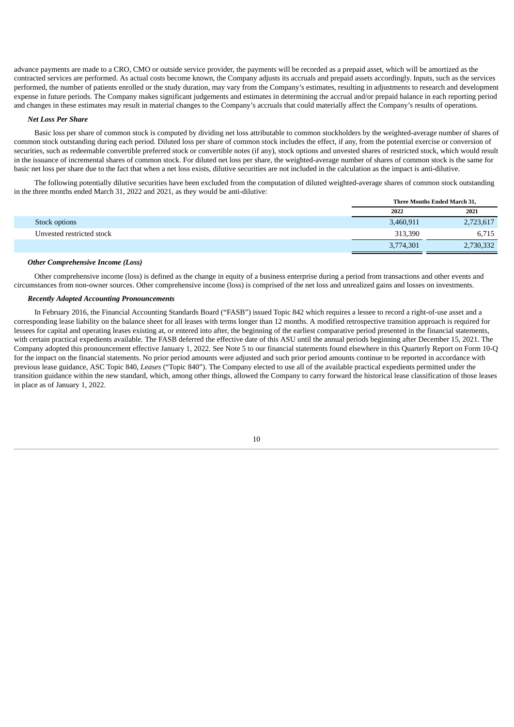advance payments are made to a CRO, CMO or outside service provider, the payments will be recorded as a prepaid asset, which will be amortized as the contracted services are performed. As actual costs become known, the Company adjusts its accruals and prepaid assets accordingly. Inputs, such as the services performed, the number of patients enrolled or the study duration, may vary from the Company's estimates, resulting in adjustments to research and development expense in future periods. The Company makes significant judgements and estimates in determining the accrual and/or prepaid balance in each reporting period and changes in these estimates may result in material changes to the Company's accruals that could materially affect the Company's results of operations.

#### *Net Loss Per Share*

Basic loss per share of common stock is computed by dividing net loss attributable to common stockholders by the weighted-average number of shares of common stock outstanding during each period. Diluted loss per share of common stock includes the effect, if any, from the potential exercise or conversion of securities, such as redeemable convertible preferred stock or convertible notes (if any), stock options and unvested shares of restricted stock, which would result in the issuance of incremental shares of common stock. For diluted net loss per share, the weighted-average number of shares of common stock is the same for basic net loss per share due to the fact that when a net loss exists, dilutive securities are not included in the calculation as the impact is anti-dilutive.

The following potentially dilutive securities have been excluded from the computation of diluted weighted-average shares of common stock outstanding in the three months ended March 31, 2022 and 2021, as they would be anti-dilutive:

|                           | Three Months Ended March 31, |  |
|---------------------------|------------------------------|--|
|                           | 2022<br>2021                 |  |
| Stock options             | 3,460,911<br>2,723,617       |  |
| Unvested restricted stock | 313,390<br>6,715             |  |
|                           | 3,774,301<br>2,730,332       |  |

#### *Other Comprehensive Income (Loss)*

Other comprehensive income (loss) is defined as the change in equity of a business enterprise during a period from transactions and other events and circumstances from non-owner sources. Other comprehensive income (loss) is comprised of the net loss and unrealized gains and losses on investments.

#### *Recently Adopted Accounting Pronouncements*

In February 2016, the Financial Accounting Standards Board ("FASB") issued Topic 842 which requires a lessee to record a right-of-use asset and a corresponding lease liability on the balance sheet for all leases with terms longer than 12 months. A modified retrospective transition approach is required for lessees for capital and operating leases existing at, or entered into after, the beginning of the earliest comparative period presented in the financial statements, with certain practical expedients available. The FASB deferred the effective date of this ASU until the annual periods beginning after December 15, 2021. The Company adopted this pronouncement effective January 1, 2022. See Note 5 to our financial statements found elsewhere in this Quarterly Report on Form 10-Q for the impact on the financial statements. No prior period amounts were adjusted and such prior period amounts continue to be reported in accordance with previous lease guidance, ASC Topic 840, *Leases* ("Topic 840"). The Company elected to use all of the available practical expedients permitted under the transition guidance within the new standard, which, among other things, allowed the Company to carry forward the historical lease classification of those leases in place as of January 1, 2022.

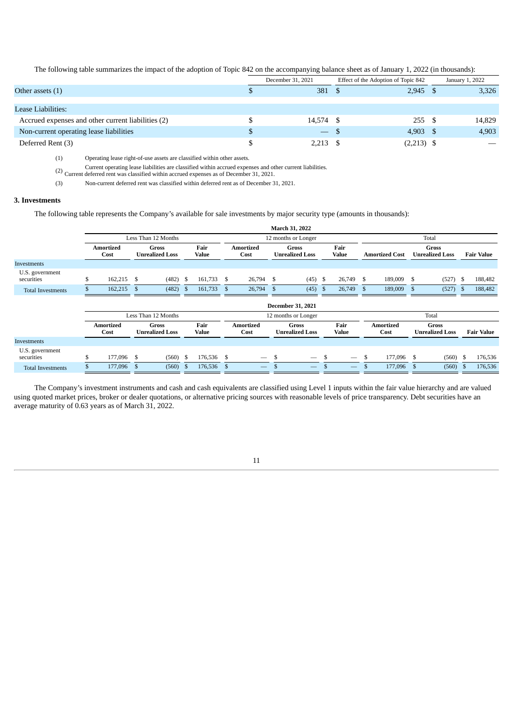The following table summarizes the impact of the adoption of Topic 842 on the accompanying balance sheet as of January 1, 2022 (in thousands):

|                                                    | December 31, 2021 | Effect of the Adoption of Topic 842 | January 1, 2022 |
|----------------------------------------------------|-------------------|-------------------------------------|-----------------|
| Other assets $(1)$                                 | 381 \$            | $2,945$ \$                          | 3,326           |
|                                                    |                   |                                     |                 |
| Lease Liabilities:                                 |                   |                                     |                 |
| Accrued expenses and other current liabilities (2) | 14,574 \$         | 255S                                | 14,829          |
| Non-current operating lease liabilities            | $-$ \$            | 4,903 \$                            | 4,903           |
| Deferred Rent (3)                                  | $2,213$ \$        | $(2,213)$ \$                        |                 |

(1) Operating lease right-of-use assets are classified within other assets.

(2) Current operating lease liabilities are classified within accrued expenses and other current liabilities. Current deferred rent was classified within accrued expenses as of December 31, 2021.

(3) Non-current deferred rent was classified within deferred rent as of December 31, 2021.

# **3. Investments**

The following table represents the Company's available for sale investments by major security type (amounts in thousands):

|                               |                          |                          |                                 |                                        |               |               |                          |                                 |                                 | March 31, 2022                         |     |                          |       |                       |                                 |                                        |    |                   |  |  |
|-------------------------------|--------------------------|--------------------------|---------------------------------|----------------------------------------|---------------|---------------|--------------------------|---------------------------------|---------------------------------|----------------------------------------|-----|--------------------------|-------|-----------------------|---------------------------------|----------------------------------------|----|-------------------|--|--|
|                               |                          |                          |                                 | Less Than 12 Months                    |               |               |                          |                                 |                                 | 12 months or Longer                    |     |                          | Total |                       |                                 |                                        |    |                   |  |  |
|                               | Amortized<br>Cost        |                          | Gross<br><b>Unrealized Loss</b> |                                        | Fair<br>Value |               | <b>Amortized</b><br>Cost |                                 | Gross<br><b>Unrealized Loss</b> |                                        |     | Fair<br>Value            |       | <b>Amortized Cost</b> | Gross<br><b>Unrealized Loss</b> |                                        |    | <b>Fair Value</b> |  |  |
| Investments                   |                          |                          |                                 |                                        |               |               |                          |                                 |                                 |                                        |     |                          |       |                       |                                 |                                        |    |                   |  |  |
| U.S. government<br>securities | \$                       | 162,215                  | \$                              | (482)                                  | - S           | 161,733       | - \$                     | 26,794 \$                       |                                 | (45)                                   | -S  | 26,749                   | S     | 189,009               | $\mathbf{s}$                    | (527)                                  | -S | 188,482           |  |  |
| <b>Total Investments</b>      |                          | 162,215                  | \$                              | (482)                                  | $\mathbf{s}$  | 161,733       | -S                       | 26,794 \$                       |                                 | (45)                                   | - S | 26,749                   | S.    | 189,009               | $\mathbf{s}$                    | (527)                                  | -5 | 188,482           |  |  |
|                               | <b>December 31, 2021</b> |                          |                                 |                                        |               |               |                          |                                 |                                 |                                        |     |                          |       |                       |                                 |                                        |    |                   |  |  |
|                               |                          |                          |                                 | Less Than 12 Months                    |               |               |                          |                                 |                                 | 12 months or Longer                    |     |                          | Total |                       |                                 |                                        |    |                   |  |  |
|                               |                          | <b>Amortized</b><br>Cost |                                 | <b>Gross</b><br><b>Unrealized Loss</b> |               | Fair<br>Value |                          | <b>Amortized</b><br>Cost        |                                 | <b>Gross</b><br><b>Unrealized Loss</b> |     | Fair<br>Value            |       | Amortized<br>Cost     |                                 | <b>Gross</b><br><b>Unrealized Loss</b> |    | <b>Fair Value</b> |  |  |
| Investments                   |                          |                          |                                 |                                        |               |               |                          |                                 |                                 |                                        |     |                          |       |                       |                                 |                                        |    |                   |  |  |
| U.S. government<br>securities |                          | 177,096                  | Ŝ.                              | (560)                                  | - \$          | 176,536 \$    |                          | $\hspace{0.1mm}-\hspace{0.1mm}$ | -S                              | $\longrightarrow$                      | \$  | $\overline{\phantom{m}}$ | \$    | 177,096 \$            |                                 | (560)                                  |    | 176,536           |  |  |
| <b>Total Investments</b>      |                          | 177,096                  | \$                              | (560)                                  | - \$          | 176,536       | $\mathbf{s}$             | $\overline{\phantom{0}}$        |                                 | $\overline{\phantom{0}}$               |     | $\overline{\phantom{0}}$ | \$    | 177,096               | $\mathbf{s}$                    | $(560)$ \$                             |    | 176,536           |  |  |

The Company's investment instruments and cash and cash equivalents are classified using Level 1 inputs within the fair value hierarchy and are valued using quoted market prices, broker or dealer quotations, or alternative pricing sources with reasonable levels of price transparency. Debt securities have an average maturity of 0.63 years as of March 31, 2022.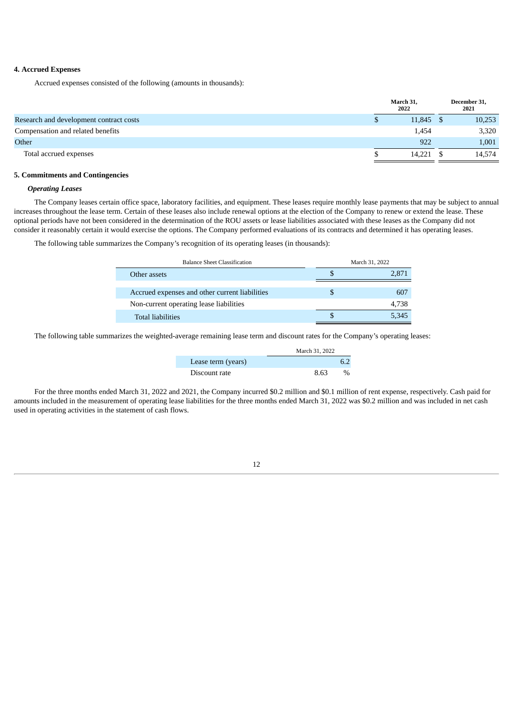### **4. Accrued Expenses**

Accrued expenses consisted of the following (amounts in thousands):

|                                         | March 31,<br>2022 |           | December 31,<br>2021 |
|-----------------------------------------|-------------------|-----------|----------------------|
| Research and development contract costs |                   | 11,845 \$ | 10,253               |
| Compensation and related benefits       |                   | 1,454     | 3,320                |
| Other                                   |                   | 922       | 1,001                |
| Total accrued expenses                  |                   | 14.221    | 14,574               |

### **5. Commitments and Contingencies**

# *Operating Leases*

The Company leases certain office space, laboratory facilities, and equipment. These leases require monthly lease payments that may be subject to annual increases throughout the lease term. Certain of these leases also include renewal options at the election of the Company to renew or extend the lease. These optional periods have not been considered in the determination of the ROU assets or lease liabilities associated with these leases as the Company did not consider it reasonably certain it would exercise the options. The Company performed evaluations of its contracts and determined it has operating leases.

The following table summarizes the Company's recognition of its operating leases (in thousands):

| <b>Balance Sheet Classification</b>            | March 31, 2022 |       |  |
|------------------------------------------------|----------------|-------|--|
| Other assets                                   |                | 2.871 |  |
|                                                |                |       |  |
| Accrued expenses and other current liabilities |                | 607   |  |
| Non-current operating lease liabilities        |                | 4.738 |  |
| <b>Total liabilities</b>                       |                | 5,345 |  |

The following table summarizes the weighted-average remaining lease term and discount rates for the Company's operating leases:

|                    | March 31, 2022 |
|--------------------|----------------|
| Lease term (years) |                |
| Discount rate      | 8.63<br>$\%$   |

For the three months ended March 31, 2022 and 2021, the Company incurred \$0.2 million and \$0.1 million of rent expense, respectively. Cash paid for amounts included in the measurement of operating lease liabilities for the three months ended March 31, 2022 was \$0.2 million and was included in net cash used in operating activities in the statement of cash flows.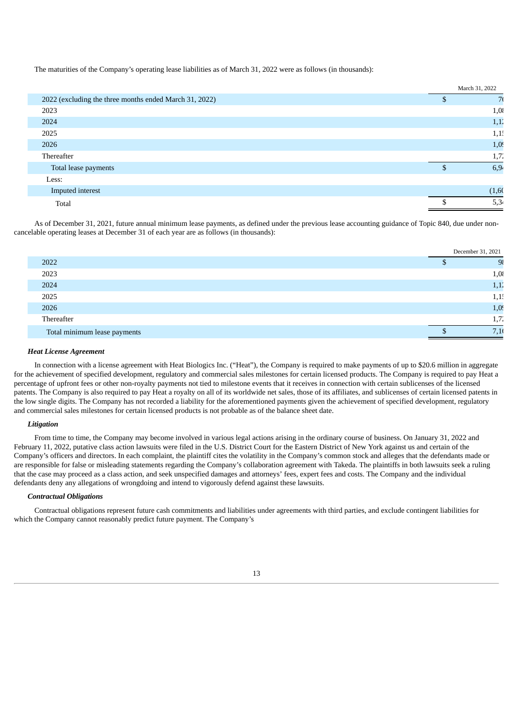The maturities of the Company's operating lease liabilities as of March 31, 2022 were as follows (in thousands):

|                                                        | March 31, 2022 |
|--------------------------------------------------------|----------------|
| 2022 (excluding the three months ended March 31, 2022) | 7 <sup>1</sup> |
| 2023                                                   | 1,0            |
| 2024                                                   | 1,1.           |
| 2025                                                   | 1,1!           |
| 2026                                                   | 1,0            |
| Thereafter                                             | 1,7.           |
| Total lease payments                                   | 6,94           |
| Less:                                                  |                |
| Imputed interest                                       | (1, 60)        |
| Total                                                  | 5,34           |

As of December 31, 2021, future annual minimum lease payments, as defined under the previous lease accounting guidance of Topic 840, due under noncancelable operating leases at December 31 of each year are as follows (in thousands):

|                              | December 31, 2021 |
|------------------------------|-------------------|
| 2022                         | 98                |
| 2023                         | 1,0               |
| 2024                         | 1,1.              |
| 2025                         | 1,1!              |
| 2026                         | 1,09              |
| Thereafter                   | 1,7.              |
| Total minimum lease payments | 7.10              |

#### *Heat License Agreement*

In connection with a license agreement with Heat Biologics Inc. ("Heat"), the Company is required to make payments of up to \$20.6 million in aggregate for the achievement of specified development, regulatory and commercial sales milestones for certain licensed products. The Company is required to pay Heat a percentage of upfront fees or other non-royalty payments not tied to milestone events that it receives in connection with certain sublicenses of the licensed patents. The Company is also required to pay Heat a royalty on all of its worldwide net sales, those of its affiliates, and sublicenses of certain licensed patents in the low single digits. The Company has not recorded a liability for the aforementioned payments given the achievement of specified development, regulatory and commercial sales milestones for certain licensed products is not probable as of the balance sheet date.

### *Litigation*

From time to time, the Company may become involved in various legal actions arising in the ordinary course of business. On January 31, 2022 and February 11, 2022, putative class action lawsuits were filed in the U.S. District Court for the Eastern District of New York against us and certain of the Company's officers and directors. In each complaint, the plaintiff cites the volatility in the Company's common stock and alleges that the defendants made or are responsible for false or misleading statements regarding the Company's collaboration agreement with Takeda. The plaintiffs in both lawsuits seek a ruling that the case may proceed as a class action, and seek unspecified damages and attorneys' fees, expert fees and costs. The Company and the individual defendants deny any allegations of wrongdoing and intend to vigorously defend against these lawsuits.

# *Contractual Obligations*

Contractual obligations represent future cash commitments and liabilities under agreements with third parties, and exclude contingent liabilities for which the Company cannot reasonably predict future payment. The Company's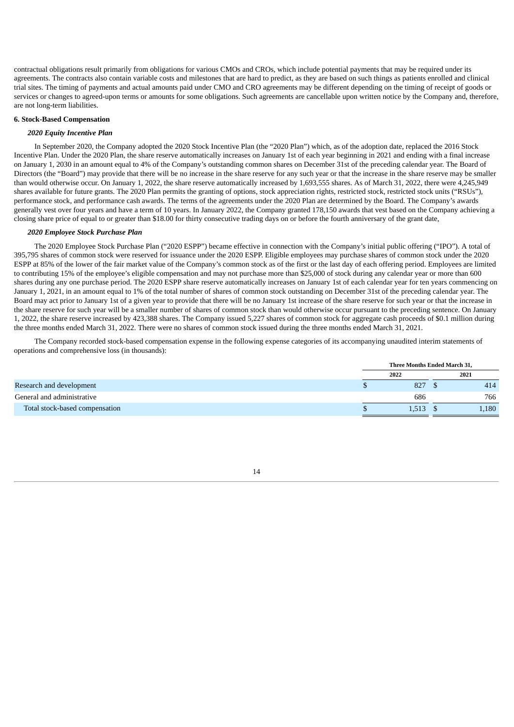contractual obligations result primarily from obligations for various CMOs and CROs, which include potential payments that may be required under its agreements. The contracts also contain variable costs and milestones that are hard to predict, as they are based on such things as patients enrolled and clinical trial sites. The timing of payments and actual amounts paid under CMO and CRO agreements may be different depending on the timing of receipt of goods or services or changes to agreed-upon terms or amounts for some obligations. Such agreements are cancellable upon written notice by the Company and, therefore, are not long-term liabilities.

#### **6. Stock-Based Compensation**

#### *2020 Equity Incentive Plan*

In September 2020, the Company adopted the 2020 Stock Incentive Plan (the "2020 Plan") which, as of the adoption date, replaced the 2016 Stock Incentive Plan. Under the 2020 Plan, the share reserve automatically increases on January 1st of each year beginning in 2021 and ending with a final increase on January 1, 2030 in an amount equal to 4% of the Company's outstanding common shares on December 31st of the preceding calendar year. The Board of Directors (the "Board") may provide that there will be no increase in the share reserve for any such year or that the increase in the share reserve may be smaller than would otherwise occur. On January 1, 2022, the share reserve automatically increased by 1,693,555 shares. As of March 31, 2022, there were 4,245,949 shares available for future grants. The 2020 Plan permits the granting of options, stock appreciation rights, restricted stock, restricted stock units ("RSUs"), performance stock, and performance cash awards. The terms of the agreements under the 2020 Plan are determined by the Board. The Company's awards generally vest over four years and have a term of 10 years. In January 2022, the Company granted 178,150 awards that vest based on the Company achieving a closing share price of equal to or greater than \$18.00 for thirty consecutive trading days on or before the fourth anniversary of the grant date,

### *2020 Employee Stock Purchase Plan*

The 2020 Employee Stock Purchase Plan ("2020 ESPP") became effective in connection with the Company's initial public offering ("IPO"). A total of 395,795 shares of common stock were reserved for issuance under the 2020 ESPP. Eligible employees may purchase shares of common stock under the 2020 ESPP at 85% of the lower of the fair market value of the Company's common stock as of the first or the last day of each offering period. Employees are limited to contributing 15% of the employee's eligible compensation and may not purchase more than \$25,000 of stock during any calendar year or more than 600 shares during any one purchase period. The 2020 ESPP share reserve automatically increases on January 1st of each calendar year for ten years commencing on January 1, 2021, in an amount equal to 1% of the total number of shares of common stock outstanding on December 31st of the preceding calendar year. The Board may act prior to January 1st of a given year to provide that there will be no January 1st increase of the share reserve for such year or that the increase in the share reserve for such year will be a smaller number of shares of common stock than would otherwise occur pursuant to the preceding sentence. On January 1, 2022, the share reserve increased by 423,388 shares. The Company issued 5,227 shares of common stock for aggregate cash proceeds of \$0.1 million during the three months ended March 31, 2022. There were no shares of common stock issued during the three months ended March 31, 2021.

The Company recorded stock-based compensation expense in the following expense categories of its accompanying unaudited interim statements of operations and comprehensive loss (in thousands):

|                                | Three Months Ended March 31, |       |  |       |
|--------------------------------|------------------------------|-------|--|-------|
|                                |                              | 2022  |  | 2021  |
| Research and development       | D                            | 827   |  | 414   |
| General and administrative     |                              | 686   |  | 766   |
| Total stock-based compensation |                              | 1,513 |  | 1,180 |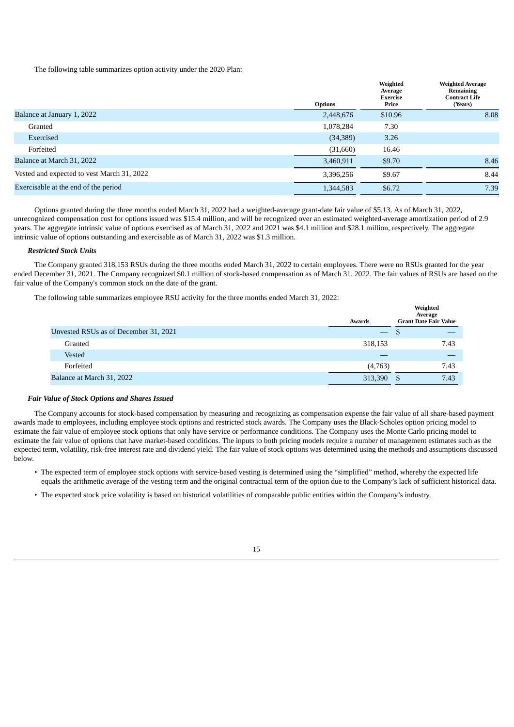The following table summarizes option activity under the 2020 Plan:

|                                            | <b>Options</b> | Weighted<br>Average<br>Exercise<br>Price | <b>Weighted Average</b><br>Remaining<br><b>Contract Life</b><br>(Years) |
|--------------------------------------------|----------------|------------------------------------------|-------------------------------------------------------------------------|
| Balance at January 1, 2022                 | 2,448,676      | \$10.96                                  | 8.08                                                                    |
| Granted                                    | 1,078,284      | 7.30                                     |                                                                         |
| Exercised                                  | (34, 389)      | 3.26                                     |                                                                         |
| Forfeited                                  | (31,660)       | 16.46                                    |                                                                         |
| Balance at March 31, 2022                  | 3,460,911      | \$9.70                                   | 8.46                                                                    |
| Vested and expected to vest March 31, 2022 | 3,396,256      | \$9.67                                   | 8.44                                                                    |
| Exercisable at the end of the period       | 1,344,583      | \$6.72                                   | 7.39                                                                    |
|                                            |                |                                          |                                                                         |

Options granted during the three months ended March 31, 2022 had a weighted-average grant-date fair value of \$5.13. As of March 31, 2022, unrecognized compensation cost for options issued was \$15.4 million, and will be recognized over an estimated weighted-average amortization period of 2.9 years. The aggregate intrinsic value of options exercised as of March 31, 2022 and 2021 was \$4.1 million and \$28.1 million, respectively. The aggregate intrinsic value of options outstanding and exercisable as of March 31, 2022 was \$1.3 million.

### *Restricted Stock Units*

The Company granted 318,153 RSUs during the three months ended March 31, 2022 to certain employees. There were no RSUs granted for the year ended December 31, 2021. The Company recognized \$0.1 million of stock-based compensation as of March 31, 2022. The fair values of RSUs are based on the fair value of the Company's common stock on the date of the grant.

**Weighted**

The following table summarizes employee RSU activity for the three months ended March 31, 2022:

|                                       | Awards                          | Weighted<br>Average<br><b>Grant Date Fair Value</b> |  |  |
|---------------------------------------|---------------------------------|-----------------------------------------------------|--|--|
| Unvested RSUs as of December 31, 2021 | $\hspace{0.1mm}-\hspace{0.1mm}$ | മ                                                   |  |  |
| Granted                               | 318,153                         | 7.43                                                |  |  |
| Vested                                |                                 |                                                     |  |  |
| Forfeited                             | (4,763)                         | 7.43                                                |  |  |
| Balance at March 31, 2022             | 313,390                         | 7.43<br><sup>\$</sup>                               |  |  |

#### *Fair Value of Stock Options and Shares Issued*

The Company accounts for stock-based compensation by measuring and recognizing as compensation expense the fair value of all share-based payment awards made to employees, including employee stock options and restricted stock awards. The Company uses the Black-Scholes option pricing model to estimate the fair value of employee stock options that only have service or performance conditions. The Company uses the Monte Carlo pricing model to estimate the fair value of options that have market-based conditions. The inputs to both pricing models require a number of management estimates such as the expected term, volatility, risk-free interest rate and dividend yield. The fair value of stock options was determined using the methods and assumptions discussed below.

- The expected term of employee stock options with service-based vesting is determined using the "simplified" method, whereby the expected life equals the arithmetic average of the vesting term and the original contractual term of the option due to the Company's lack of sufficient historical data.
- The expected stock price volatility is based on historical volatilities of comparable public entities within the Company's industry.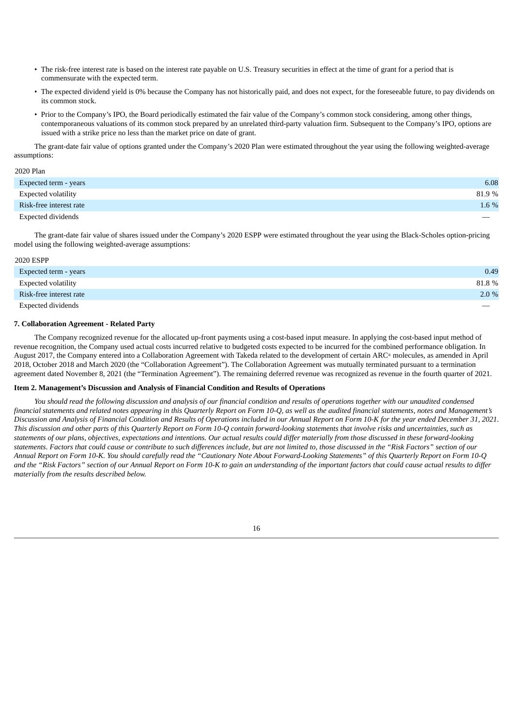- The risk-free interest rate is based on the interest rate payable on U.S. Treasury securities in effect at the time of grant for a period that is commensurate with the expected term.
- The expected dividend yield is 0% because the Company has not historically paid, and does not expect, for the foreseeable future, to pay dividends on its common stock.
- Prior to the Company's IPO, the Board periodically estimated the fair value of the Company's common stock considering, among other things, contemporaneous valuations of its common stock prepared by an unrelated third-party valuation firm. Subsequent to the Company's IPO, options are issued with a strike price no less than the market price on date of grant.

The grant-date fair value of options granted under the Company's 2020 Plan were estimated throughout the year using the following weighted-average assumptions:

#### 2020 Plan

| Expected term - years     | 6.08   |
|---------------------------|--------|
| Expected volatility       | 81.9 % |
| Risk-free interest rate   | 1.6 %  |
| <b>Expected dividends</b> |        |

The grant-date fair value of shares issued under the Company's 2020 ESPP were estimated throughout the year using the Black-Scholes option-pricing model using the following weighted-average assumptions:

# 2020 ESPP

| Expected term - years     | 0.49    |
|---------------------------|---------|
| Expected volatility       | 81.8%   |
| Risk-free interest rate   | $2.0\%$ |
| <b>Expected dividends</b> |         |

# **7. Collaboration Agreement - Related Party**

The Company recognized revenue for the allocated up-front payments using a cost-based input measure. In applying the cost-based input method of revenue recognition, the Company used actual costs incurred relative to budgeted costs expected to be incurred for the combined performance obligation. In August 2017, the Company entered into a Collaboration Agreement with Takeda related to the development of certain ARC<sup>®</sup> molecules, as amended in April 2018, October 2018 and March 2020 (the "Collaboration Agreement"). The Collaboration Agreement was mutually terminated pursuant to a termination agreement dated November 8, 2021 (the "Termination Agreement"). The remaining deferred revenue was recognized as revenue in the fourth quarter of 2021.

#### <span id="page-19-0"></span>**Item 2. Management's Discussion and Analysis of Financial Condition and Results of Operations**

You should read the following discussion and analysis of our financial condition and results of operations together with our unaudited condensed financial statements and related notes appearing in this Quarterly Report on Form 10-Q, as well as the audited financial statements, notes and Management's Discussion and Analysis of Financial Condition and Results of Operations included in our Annual Report on Form 10-K for the year ended December 31, 2021. This discussion and other parts of this Quarterly Report on Form 10-Q contain forward-looking statements that involve risks and uncertainties, such as statements of our plans, objectives, expectations and intentions. Our actual results could differ materially from those discussed in these forward-looking statements. Factors that could cause or contribute to such differences include, but are not limited to, those discussed in the "Risk Factors" section of our Annual Report on Form 10-K. You should carefully read the "Cautionary Note About Forward-Looking Statements" of this Quarterly Report on Form 10-Q and the "Risk Factors" section of our Annual Report on Form 10-K to gain an understanding of the important factors that could cause actual results to differ *materially from the results described below.*

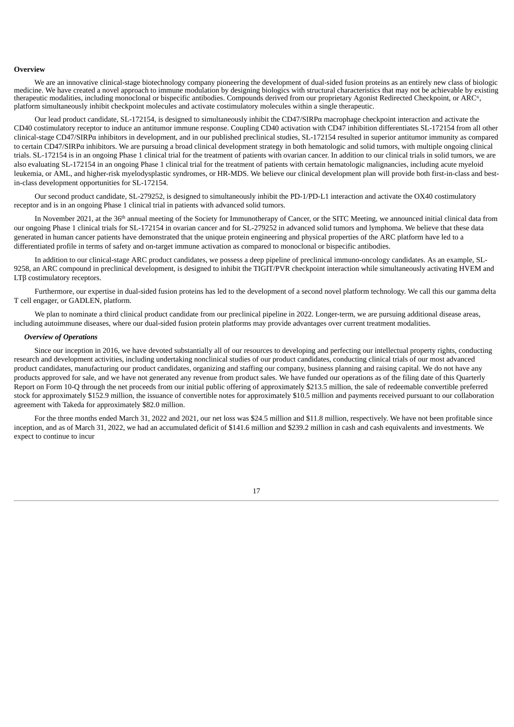#### **Overview**

We are an innovative clinical-stage biotechnology company pioneering the development of dual-sided fusion proteins as an entirely new class of biologic medicine. We have created a novel approach to immune modulation by designing biologics with structural characteristics that may not be achievable by existing therapeutic modalities, including monoclonal or bispecific antibodies. Compounds derived from our proprietary Agonist Redirected Checkpoint, or ARC<sup>®</sup>, platform simultaneously inhibit checkpoint molecules and activate costimulatory molecules within a single therapeutic.

Our lead product candidate, SL-172154, is designed to simultaneously inhibit the CD47/SIRPα macrophage checkpoint interaction and activate the CD40 costimulatory receptor to induce an antitumor immune response. Coupling CD40 activation with CD47 inhibition differentiates SL-172154 from all other clinical-stage CD47/SIRPα inhibitors in development, and in our published preclinical studies, SL-172154 resulted in superior antitumor immunity as compared to certain CD47/SIRPα inhibitors. We are pursuing a broad clinical development strategy in both hematologic and solid tumors, with multiple ongoing clinical trials. SL-172154 is in an ongoing Phase 1 clinical trial for the treatment of patients with ovarian cancer. In addition to our clinical trials in solid tumors, we are also evaluating SL-172154 in an ongoing Phase 1 clinical trial for the treatment of patients with certain hematologic malignancies, including acute myeloid leukemia, or AML, and higher-risk myelodysplastic syndromes, or HR-MDS. We believe our clinical development plan will provide both first-in-class and bestin-class development opportunities for SL-172154.

Our second product candidate, SL-279252, is designed to simultaneously inhibit the PD-1/PD-L1 interaction and activate the OX40 costimulatory receptor and is in an ongoing Phase 1 clinical trial in patients with advanced solid tumors.

In November 2021, at the  $36<sup>th</sup>$  annual meeting of the Society for Immunotherapy of Cancer, or the SITC Meeting, we announced initial clinical data from our ongoing Phase 1 clinical trials for SL-172154 in ovarian cancer and for SL-279252 in advanced solid tumors and lymphoma. We believe that these data generated in human cancer patients have demonstrated that the unique protein engineering and physical properties of the ARC platform have led to a differentiated profile in terms of safety and on-target immune activation as compared to monoclonal or bispecific antibodies.

In addition to our clinical-stage ARC product candidates, we possess a deep pipeline of preclinical immuno-oncology candidates. As an example, SL-9258, an ARC compound in preclinical development, is designed to inhibit the TIGIT/PVR checkpoint interaction while simultaneously activating HVEM and LTβ costimulatory receptors.

Furthermore, our expertise in dual-sided fusion proteins has led to the development of a second novel platform technology. We call this our gamma delta T cell engager, or GADLEN, platform.

We plan to nominate a third clinical product candidate from our preclinical pipeline in 2022. Longer-term, we are pursuing additional disease areas, including autoimmune diseases, where our dual-sided fusion protein platforms may provide advantages over current treatment modalities.

#### *Overview of Operations*

Since our inception in 2016, we have devoted substantially all of our resources to developing and perfecting our intellectual property rights, conducting research and development activities, including undertaking nonclinical studies of our product candidates, conducting clinical trials of our most advanced product candidates, manufacturing our product candidates, organizing and staffing our company, business planning and raising capital. We do not have any products approved for sale, and we have not generated any revenue from product sales. We have funded our operations as of the filing date of this Quarterly Report on Form 10-Q through the net proceeds from our initial public offering of approximately \$213.5 million, the sale of redeemable convertible preferred stock for approximately \$152.9 million, the issuance of convertible notes for approximately \$10.5 million and payments received pursuant to our collaboration agreement with Takeda for approximately \$82.0 million.

For the three months ended March 31, 2022 and 2021, our net loss was \$24.5 million and \$11.8 million, respectively. We have not been profitable since inception, and as of March 31, 2022, we had an accumulated deficit of \$141.6 million and \$239.2 million in cash and cash equivalents and investments. We expect to continue to incur

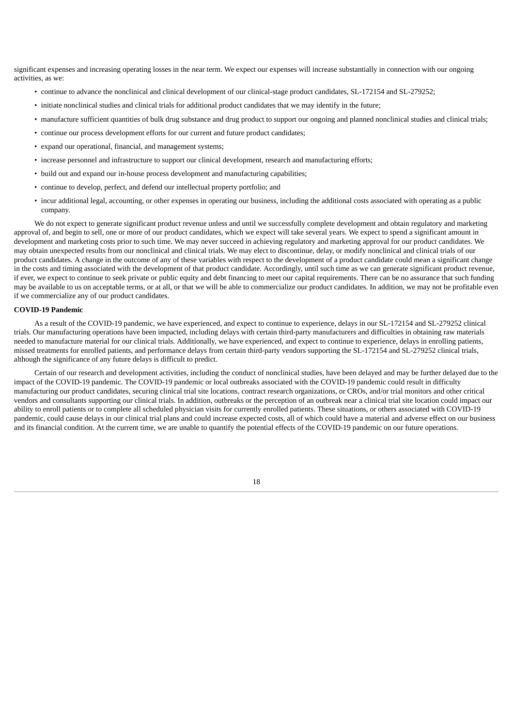significant expenses and increasing operating losses in the near term. We expect our expenses will increase substantially in connection with our ongoing activities, as we:

- continue to advance the nonclinical and clinical development of our clinical-stage product candidates, SL-172154 and SL-279252;
- initiate nonclinical studies and clinical trials for additional product candidates that we may identify in the future;
- manufacture sufficient quantities of bulk drug substance and drug product to support our ongoing and planned nonclinical studies and clinical trials;
- continue our process development efforts for our current and future product candidates;
- expand our operational, financial, and management systems;
- increase personnel and infrastructure to support our clinical development, research and manufacturing efforts;
- build out and expand our in-house process development and manufacturing capabilities;
- continue to develop, perfect, and defend our intellectual property portfolio; and
- incur additional legal, accounting, or other expenses in operating our business, including the additional costs associated with operating as a public company.

We do not expect to generate significant product revenue unless and until we successfully complete development and obtain regulatory and marketing approval of, and begin to sell, one or more of our product candidates, which we expect will take several years. We expect to spend a significant amount in development and marketing costs prior to such time. We may never succeed in achieving regulatory and marketing approval for our product candidates. We may obtain unexpected results from our nonclinical and clinical trials. We may elect to discontinue, delay, or modify nonclinical and clinical trials of our product candidates. A change in the outcome of any of these variables with respect to the development of a product candidate could mean a significant change in the costs and timing associated with the development of that product candidate. Accordingly, until such time as we can generate significant product revenue, if ever, we expect to continue to seek private or public equity and debt financing to meet our capital requirements. There can be no assurance that such funding may be available to us on acceptable terms, or at all, or that we will be able to commercialize our product candidates. In addition, we may not be profitable even if we commercialize any of our product candidates.

#### **COVID-19 Pandemic**

As a result of the COVID-19 pandemic, we have experienced, and expect to continue to experience, delays in our SL-172154 and SL-279252 clinical trials. Our manufacturing operations have been impacted, including delays with certain third-party manufacturers and difficulties in obtaining raw materials needed to manufacture material for our clinical trials. Additionally, we have experienced, and expect to continue to experience, delays in enrolling patients, missed treatments for enrolled patients, and performance delays from certain third-party vendors supporting the SL-172154 and SL-279252 clinical trials, although the significance of any future delays is difficult to predict.

Certain of our research and development activities, including the conduct of nonclinical studies, have been delayed and may be further delayed due to the impact of the COVID-19 pandemic. The COVID-19 pandemic or local outbreaks associated with the COVID-19 pandemic could result in difficulty manufacturing our product candidates, securing clinical trial site locations, contract research organizations, or CROs, and/or trial monitors and other critical vendors and consultants supporting our clinical trials. In addition, outbreaks or the perception of an outbreak near a clinical trial site location could impact our ability to enroll patients or to complete all scheduled physician visits for currently enrolled patients. These situations, or others associated with COVID-19 pandemic, could cause delays in our clinical trial plans and could increase expected costs, all of which could have a material and adverse effect on our business and its financial condition. At the current time, we are unable to quantify the potential effects of the COVID-19 pandemic on our future operations.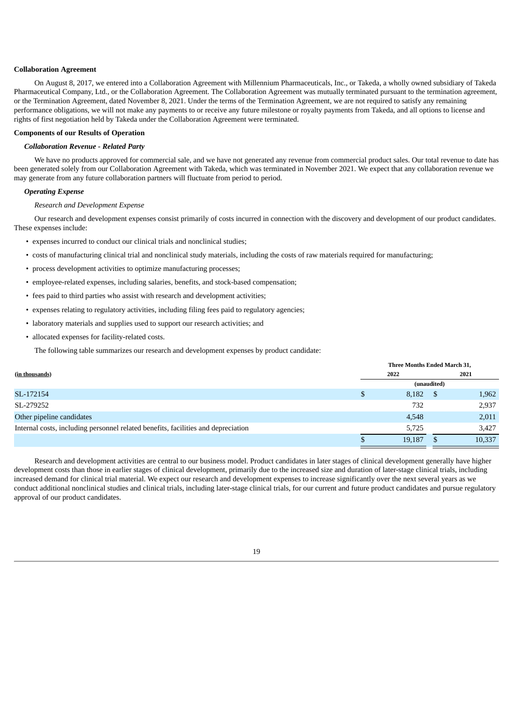#### **Collaboration Agreement**

On August 8, 2017, we entered into a Collaboration Agreement with Millennium Pharmaceuticals, Inc., or Takeda, a wholly owned subsidiary of Takeda Pharmaceutical Company, Ltd., or the Collaboration Agreement. The Collaboration Agreement was mutually terminated pursuant to the termination agreement, or the Termination Agreement, dated November 8, 2021. Under the terms of the Termination Agreement, we are not required to satisfy any remaining performance obligations, we will not make any payments to or receive any future milestone or royalty payments from Takeda, and all options to license and rights of first negotiation held by Takeda under the Collaboration Agreement were terminated.

#### **Components of our Results of Operation**

# *Collaboration Revenue - Related Party*

We have no products approved for commercial sale, and we have not generated any revenue from commercial product sales. Our total revenue to date has been generated solely from our Collaboration Agreement with Takeda, which was terminated in November 2021. We expect that any collaboration revenue we may generate from any future collaboration partners will fluctuate from period to period.

#### *Operating Expense*

#### *Research and Development Expense*

Our research and development expenses consist primarily of costs incurred in connection with the discovery and development of our product candidates. These expenses include:

- expenses incurred to conduct our clinical trials and nonclinical studies;
- costs of manufacturing clinical trial and nonclinical study materials, including the costs of raw materials required for manufacturing;
- process development activities to optimize manufacturing processes;
- employee-related expenses, including salaries, benefits, and stock-based compensation;
- fees paid to third parties who assist with research and development activities;
- expenses relating to regulatory activities, including filing fees paid to regulatory agencies;
- laboratory materials and supplies used to support our research activities; and
- allocated expenses for facility-related costs.

The following table summarizes our research and development expenses by product candidate:

|                                                                                   |  | Three Months Ended March 31, |             |        |
|-----------------------------------------------------------------------------------|--|------------------------------|-------------|--------|
| (in thousands)                                                                    |  | 2022                         |             | 2021   |
|                                                                                   |  |                              | (unaudited) |        |
| SL-172154                                                                         |  | 8,182                        |             | 1,962  |
| SL-279252                                                                         |  | 732                          |             | 2,937  |
| Other pipeline candidates                                                         |  | 4,548                        |             | 2,011  |
| Internal costs, including personnel related benefits, facilities and depreciation |  | 5.725                        |             | 3,427  |
|                                                                                   |  | 19,187                       |             | 10,337 |

Research and development activities are central to our business model. Product candidates in later stages of clinical development generally have higher development costs than those in earlier stages of clinical development, primarily due to the increased size and duration of later-stage clinical trials, including increased demand for clinical trial material. We expect our research and development expenses to increase significantly over the next several years as we conduct additional nonclinical studies and clinical trials, including later-stage clinical trials, for our current and future product candidates and pursue regulatory approval of our product candidates.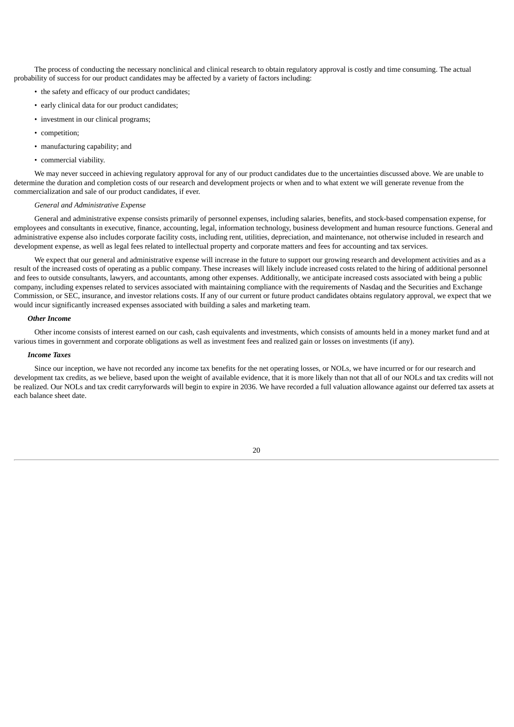The process of conducting the necessary nonclinical and clinical research to obtain regulatory approval is costly and time consuming. The actual probability of success for our product candidates may be affected by a variety of factors including:

- the safety and efficacy of our product candidates;
- early clinical data for our product candidates;
- investment in our clinical programs;
- competition;
- manufacturing capability; and
- commercial viability.

We may never succeed in achieving regulatory approval for any of our product candidates due to the uncertainties discussed above. We are unable to determine the duration and completion costs of our research and development projects or when and to what extent we will generate revenue from the commercialization and sale of our product candidates, if ever.

# *General and Administrative Expense*

General and administrative expense consists primarily of personnel expenses, including salaries, benefits, and stock-based compensation expense, for employees and consultants in executive, finance, accounting, legal, information technology, business development and human resource functions. General and administrative expense also includes corporate facility costs, including rent, utilities, depreciation, and maintenance, not otherwise included in research and development expense, as well as legal fees related to intellectual property and corporate matters and fees for accounting and tax services.

We expect that our general and administrative expense will increase in the future to support our growing research and development activities and as a result of the increased costs of operating as a public company. These increases will likely include increased costs related to the hiring of additional personnel and fees to outside consultants, lawyers, and accountants, among other expenses. Additionally, we anticipate increased costs associated with being a public company, including expenses related to services associated with maintaining compliance with the requirements of Nasdaq and the Securities and Exchange Commission, or SEC, insurance, and investor relations costs. If any of our current or future product candidates obtains regulatory approval, we expect that we would incur significantly increased expenses associated with building a sales and marketing team.

#### *Other Income*

Other income consists of interest earned on our cash, cash equivalents and investments, which consists of amounts held in a money market fund and at various times in government and corporate obligations as well as investment fees and realized gain or losses on investments (if any).

# *Income Taxes*

Since our inception, we have not recorded any income tax benefits for the net operating losses, or NOLs, we have incurred or for our research and development tax credits, as we believe, based upon the weight of available evidence, that it is more likely than not that all of our NOLs and tax credits will not be realized. Our NOLs and tax credit carryforwards will begin to expire in 2036. We have recorded a full valuation allowance against our deferred tax assets at each balance sheet date.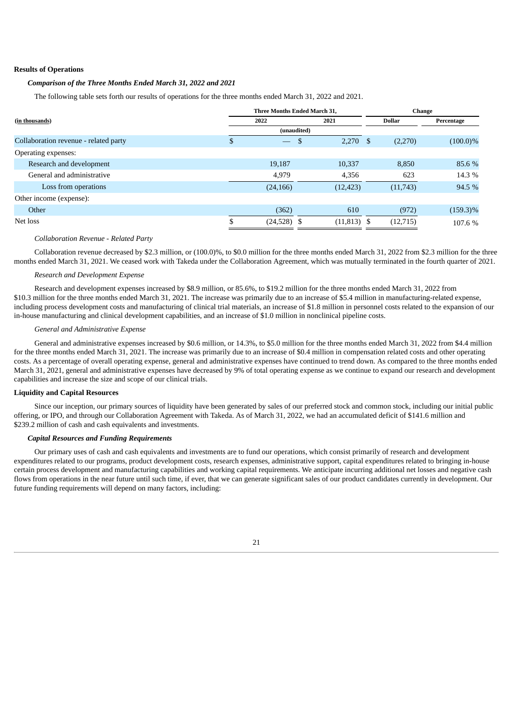#### **Results of Operations**

# *Comparison of the Three Months Ended March 31, 2022 and 2021*

The following table sets forth our results of operations for the three months ended March 31, 2022 and 2021.

|                                       | Three Months Ended March 31, |    |               | Change |               |             |
|---------------------------------------|------------------------------|----|---------------|--------|---------------|-------------|
| (in thousands)                        | 2022                         |    | 2021          |        | <b>Dollar</b> | Percentage  |
|                                       | (unaudited)                  |    |               |        |               |             |
| Collaboration revenue - related party | \$                           | \$ | $2,270$ \$    |        | (2,270)       | $(100.0)\%$ |
| Operating expenses:                   |                              |    |               |        |               |             |
| Research and development              | 19,187                       |    | 10.337        |        | 8.850         | 85.6 %      |
| General and administrative            | 4,979                        |    | 4,356         |        | 623           | 14.3 %      |
| Loss from operations                  | (24, 166)                    |    | (12, 423)     |        | (11,743)      | 94.5 %      |
| Other income (expense):               |                              |    |               |        |               |             |
| Other                                 | (362)                        |    | 610           |        | (972)         | $(159.3)\%$ |
| Net loss                              | \$<br>$(24,528)$ \$          |    | $(11,813)$ \$ |        | (12, 715)     | 107.6 %     |
|                                       |                              |    |               |        |               |             |

#### *Collaboration Revenue - Related Party*

Collaboration revenue decreased by \$2.3 million, or (100.0)%, to \$0.0 million for the three months ended March 31, 2022 from \$2.3 million for the three months ended March 31, 2021. We ceased work with Takeda under the Collaboration Agreement, which was mutually terminated in the fourth quarter of 2021.

#### *Research and Development Expense*

Research and development expenses increased by \$8.9 million, or 85.6%, to \$19.2 million for the three months ended March 31, 2022 from \$10.3 million for the three months ended March 31, 2021. The increase was primarily due to an increase of \$5.4 million in manufacturing-related expense, including process development costs and manufacturing of clinical trial materials, an increase of \$1.8 million in personnel costs related to the expansion of our in-house manufacturing and clinical development capabilities, and an increase of \$1.0 million in nonclinical pipeline costs.

#### *General and Administrative Expense*

General and administrative expenses increased by \$0.6 million, or 14.3%, to \$5.0 million for the three months ended March 31, 2022 from \$4.4 million for the three months ended March 31, 2021. The increase was primarily due to an increase of \$0.4 million in compensation related costs and other operating costs. As a percentage of overall operating expense, general and administrative expenses have continued to trend down. As compared to the three months ended March 31, 2021, general and administrative expenses have decreased by 9% of total operating expense as we continue to expand our research and development capabilities and increase the size and scope of our clinical trials.

### **Liquidity and Capital Resources**

Since our inception, our primary sources of liquidity have been generated by sales of our preferred stock and common stock, including our initial public offering, or IPO, and through our Collaboration Agreement with Takeda. As of March 31, 2022, we had an accumulated deficit of \$141.6 million and \$239.2 million of cash and cash equivalents and investments.

# *Capital Resources and Funding Requirements*

Our primary uses of cash and cash equivalents and investments are to fund our operations, which consist primarily of research and development expenditures related to our programs, product development costs, research expenses, administrative support, capital expenditures related to bringing in-house certain process development and manufacturing capabilities and working capital requirements. We anticipate incurring additional net losses and negative cash flows from operations in the near future until such time, if ever, that we can generate significant sales of our product candidates currently in development. Our future funding requirements will depend on many factors, including: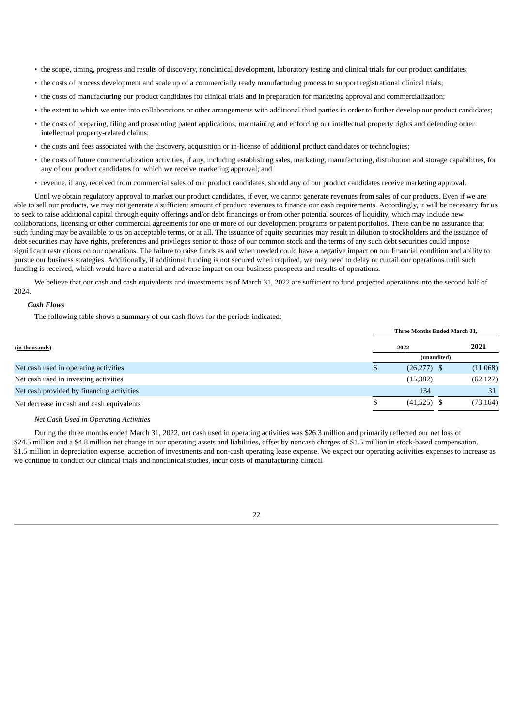- the scope, timing, progress and results of discovery, nonclinical development, laboratory testing and clinical trials for our product candidates;
- the costs of process development and scale up of a commercially ready manufacturing process to support registrational clinical trials;
- the costs of manufacturing our product candidates for clinical trials and in preparation for marketing approval and commercialization;
- the extent to which we enter into collaborations or other arrangements with additional third parties in order to further develop our product candidates;
- the costs of preparing, filing and prosecuting patent applications, maintaining and enforcing our intellectual property rights and defending other intellectual property-related claims;
- the costs and fees associated with the discovery, acquisition or in-license of additional product candidates or technologies;
- the costs of future commercialization activities, if any, including establishing sales, marketing, manufacturing, distribution and storage capabilities, for any of our product candidates for which we receive marketing approval; and
- revenue, if any, received from commercial sales of our product candidates, should any of our product candidates receive marketing approval.

Until we obtain regulatory approval to market our product candidates, if ever, we cannot generate revenues from sales of our products. Even if we are able to sell our products, we may not generate a sufficient amount of product revenues to finance our cash requirements. Accordingly, it will be necessary for us to seek to raise additional capital through equity offerings and/or debt financings or from other potential sources of liquidity, which may include new collaborations, licensing or other commercial agreements for one or more of our development programs or patent portfolios. There can be no assurance that such funding may be available to us on acceptable terms, or at all. The issuance of equity securities may result in dilution to stockholders and the issuance of debt securities may have rights, preferences and privileges senior to those of our common stock and the terms of any such debt securities could impose significant restrictions on our operations. The failure to raise funds as and when needed could have a negative impact on our financial condition and ability to pursue our business strategies. Additionally, if additional funding is not secured when required, we may need to delay or curtail our operations until such funding is received, which would have a material and adverse impact on our business prospects and results of operations.

We believe that our cash and cash equivalents and investments as of March 31, 2022 are sufficient to fund projected operations into the second half of 2024.

### *Cash Flows*

The following table shows a summary of our cash flows for the periods indicated:

|                                           |    | <b>Three Months Ended March 31.</b> |           |  |  |  |
|-------------------------------------------|----|-------------------------------------|-----------|--|--|--|
| (in thousands)                            |    | 2022                                | 2021      |  |  |  |
|                                           |    | (unaudited)                         |           |  |  |  |
| Net cash used in operating activities     | S. | $(26,277)$ \$                       | (11,068)  |  |  |  |
| Net cash used in investing activities     |    | (15,382)                            | (62, 127) |  |  |  |
| Net cash provided by financing activities |    | 134                                 | 31        |  |  |  |
| Net decrease in cash and cash equivalents |    | $(41,525)$ \$                       | (73, 164) |  |  |  |

#### *Net Cash Used in Operating Activities*

During the three months ended March 31, 2022, net cash used in operating activities was \$26.3 million and primarily reflected our net loss of \$24.5 million and a \$4.8 million net change in our operating assets and liabilities, offset by noncash charges of \$1.5 million in stock-based compensation, \$1.5 million in depreciation expense, accretion of investments and non-cash operating lease expense. We expect our operating activities expenses to increase as we continue to conduct our clinical trials and nonclinical studies, incur costs of manufacturing clinical

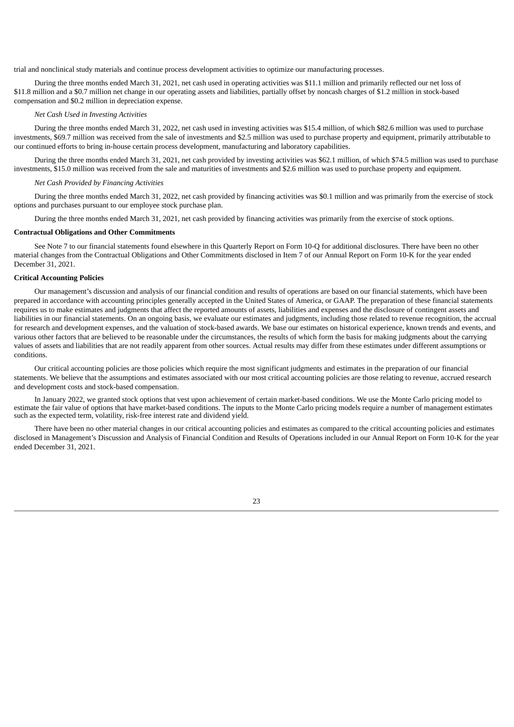trial and nonclinical study materials and continue process development activities to optimize our manufacturing processes.

During the three months ended March 31, 2021, net cash used in operating activities was \$11.1 million and primarily reflected our net loss of \$11.8 million and a \$0.7 million net change in our operating assets and liabilities, partially offset by noncash charges of \$1.2 million in stock-based compensation and \$0.2 million in depreciation expense.

# *Net Cash Used in Investing Activities*

During the three months ended March 31, 2022, net cash used in investing activities was \$15.4 million, of which \$82.6 million was used to purchase investments, \$69.7 million was received from the sale of investments and \$2.5 million was used to purchase property and equipment, primarily attributable to our continued efforts to bring in-house certain process development, manufacturing and laboratory capabilities.

During the three months ended March 31, 2021, net cash provided by investing activities was \$62.1 million, of which \$74.5 million was used to purchase investments, \$15.0 million was received from the sale and maturities of investments and \$2.6 million was used to purchase property and equipment.

#### *Net Cash Provided by Financing Activities*

During the three months ended March 31, 2022, net cash provided by financing activities was \$0.1 million and was primarily from the exercise of stock options and purchases pursuant to our employee stock purchase plan.

During the three months ended March 31, 2021, net cash provided by financing activities was primarily from the exercise of stock options.

### **Contractual Obligations and Other Commitments**

See Note 7 to our financial statements found elsewhere in this Quarterly Report on Form 10-Q for additional disclosures. There have been no other material changes from the Contractual Obligations and Other Commitments disclosed in Item 7 of our Annual Report on Form 10-K for the year ended December 31, 2021.

### **Critical Accounting Policies**

Our management's discussion and analysis of our financial condition and results of operations are based on our financial statements, which have been prepared in accordance with accounting principles generally accepted in the United States of America, or GAAP. The preparation of these financial statements requires us to make estimates and judgments that affect the reported amounts of assets, liabilities and expenses and the disclosure of contingent assets and liabilities in our financial statements. On an ongoing basis, we evaluate our estimates and judgments, including those related to revenue recognition, the accrual for research and development expenses, and the valuation of stock-based awards. We base our estimates on historical experience, known trends and events, and various other factors that are believed to be reasonable under the circumstances, the results of which form the basis for making judgments about the carrying values of assets and liabilities that are not readily apparent from other sources. Actual results may differ from these estimates under different assumptions or conditions.

Our critical accounting policies are those policies which require the most significant judgments and estimates in the preparation of our financial statements. We believe that the assumptions and estimates associated with our most critical accounting policies are those relating to revenue, accrued research and development costs and stock-based compensation.

In January 2022, we granted stock options that vest upon achievement of certain market-based conditions. We use the Monte Carlo pricing model to estimate the fair value of options that have market-based conditions. The inputs to the Monte Carlo pricing models require a number of management estimates such as the expected term, volatility, risk-free interest rate and dividend yield.

There have been no other material changes in our critical accounting policies and estimates as compared to the critical accounting policies and estimates disclosed in Management's Discussion and Analysis of Financial Condition and Results of Operations included in our Annual Report on Form 10-K for the year ended December 31, 2021.

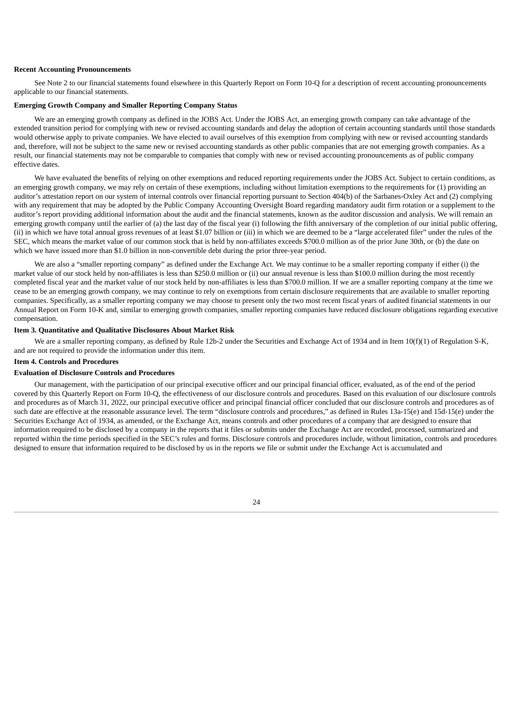#### **Recent Accounting Pronouncements**

See Note 2 to our financial statements found elsewhere in this Quarterly Report on Form 10-Q for a description of recent accounting pronouncements applicable to our financial statements.

#### **Emerging Growth Company and Smaller Reporting Company Status**

We are an emerging growth company as defined in the JOBS Act. Under the JOBS Act, an emerging growth company can take advantage of the extended transition period for complying with new or revised accounting standards and delay the adoption of certain accounting standards until those standards would otherwise apply to private companies. We have elected to avail ourselves of this exemption from complying with new or revised accounting standards and, therefore, will not be subject to the same new or revised accounting standards as other public companies that are not emerging growth companies. As a result, our financial statements may not be comparable to companies that comply with new or revised accounting pronouncements as of public company effective dates.

We have evaluated the benefits of relying on other exemptions and reduced reporting requirements under the JOBS Act. Subject to certain conditions, as an emerging growth company, we may rely on certain of these exemptions, including without limitation exemptions to the requirements for (1) providing an auditor's attestation report on our system of internal controls over financial reporting pursuant to Section 404(b) of the Sarbanes-Oxley Act and (2) complying with any requirement that may be adopted by the Public Company Accounting Oversight Board regarding mandatory audit firm rotation or a supplement to the auditor's report providing additional information about the audit and the financial statements, known as the auditor discussion and analysis. We will remain an emerging growth company until the earlier of (a) the last day of the fiscal year (i) following the fifth anniversary of the completion of our initial public offering, (ii) in which we have total annual gross revenues of at least \$1.07 billion or (iii) in which we are deemed to be a "large accelerated filer" under the rules of the SEC, which means the market value of our common stock that is held by non-affiliates exceeds \$700.0 million as of the prior June 30th, or (b) the date on which we have issued more than \$1.0 billion in non-convertible debt during the prior three-year period.

We are also a "smaller reporting company" as defined under the Exchange Act. We may continue to be a smaller reporting company if either (i) the market value of our stock held by non-affiliates is less than \$250.0 million or (ii) our annual revenue is less than \$100.0 million during the most recently completed fiscal year and the market value of our stock held by non-affiliates is less than \$700.0 million. If we are a smaller reporting company at the time we cease to be an emerging growth company, we may continue to rely on exemptions from certain disclosure requirements that are available to smaller reporting companies. Specifically, as a smaller reporting company we may choose to present only the two most recent fiscal years of audited financial statements in our Annual Report on Form 10-K and, similar to emerging growth companies, smaller reporting companies have reduced disclosure obligations regarding executive compensation.

# <span id="page-27-0"></span>**Item 3. Quantitative and Qualitative Disclosures About Market Risk**

We are a smaller reporting company, as defined by Rule 12b-2 under the Securities and Exchange Act of 1934 and in Item 10(f)(1) of Regulation S-K, and are not required to provide the information under this item.

# <span id="page-27-1"></span>**Item 4. Controls and Procedures**

# **Evaluation of Disclosure Controls and Procedures**

Our management, with the participation of our principal executive officer and our principal financial officer, evaluated, as of the end of the period covered by this Quarterly Report on Form 10-Q, the effectiveness of our disclosure controls and procedures. Based on this evaluation of our disclosure controls and procedures as of March 31, 2022, our principal executive officer and principal financial officer concluded that our disclosure controls and procedures as of such date are effective at the reasonable assurance level. The term "disclosure controls and procedures," as defined in Rules 13a-15(e) and 15d-15(e) under the Securities Exchange Act of 1934, as amended, or the Exchange Act, means controls and other procedures of a company that are designed to ensure that information required to be disclosed by a company in the reports that it files or submits under the Exchange Act are recorded, processed, summarized and reported within the time periods specified in the SEC's rules and forms. Disclosure controls and procedures include, without limitation, controls and procedures designed to ensure that information required to be disclosed by us in the reports we file or submit under the Exchange Act is accumulated and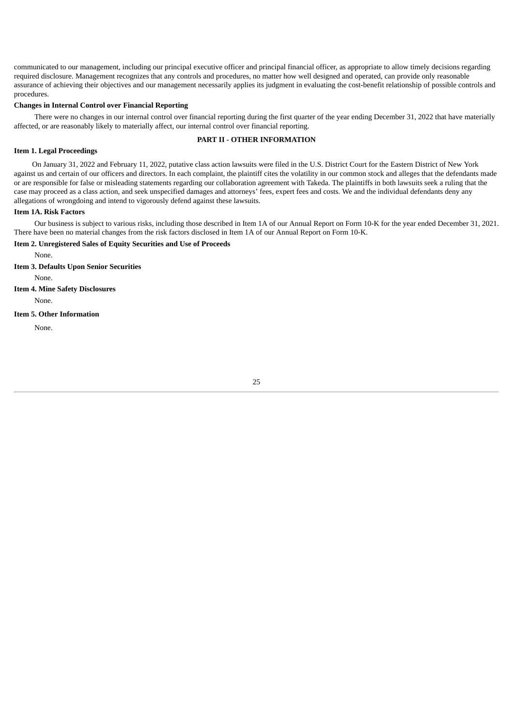communicated to our management, including our principal executive officer and principal financial officer, as appropriate to allow timely decisions regarding required disclosure. Management recognizes that any controls and procedures, no matter how well designed and operated, can provide only reasonable assurance of achieving their objectives and our management necessarily applies its judgment in evaluating the cost-benefit relationship of possible controls and procedures.

#### **Changes in Internal Control over Financial Reporting**

There were no changes in our internal control over financial reporting during the first quarter of the year ending December 31, 2022 that have materially affected, or are reasonably likely to materially affect, our internal control over financial reporting.

# **PART II - OTHER INFORMATION**

### <span id="page-28-1"></span><span id="page-28-0"></span>**Item 1. Legal Proceedings**

On January 31, 2022 and February 11, 2022, putative class action lawsuits were filed in the U.S. District Court for the Eastern District of New York against us and certain of our officers and directors. In each complaint, the plaintiff cites the volatility in our common stock and alleges that the defendants made or are responsible for false or misleading statements regarding our collaboration agreement with Takeda. The plaintiffs in both lawsuits seek a ruling that the case may proceed as a class action, and seek unspecified damages and attorneys' fees, expert fees and costs. We and the individual defendants deny any allegations of wrongdoing and intend to vigorously defend against these lawsuits.

### <span id="page-28-2"></span>**Item 1A. Risk Factors**

Our business is subject to various risks, including those described in Item 1A of our Annual Report on Form 10-K for the year ended December 31, 2021. There have been no material changes from the risk factors disclosed in Item 1A of our Annual Report on Form 10-K.

# <span id="page-28-3"></span>**Item 2. Unregistered Sales of Equity Securities and Use of Proceeds**

None.

<span id="page-28-4"></span>**Item 3. Defaults Upon Senior Securities**

None.

# <span id="page-28-5"></span>**Item 4. Mine Safety Disclosures**

None.

# <span id="page-28-6"></span>**Item 5. Other Information**

<span id="page-28-7"></span>None.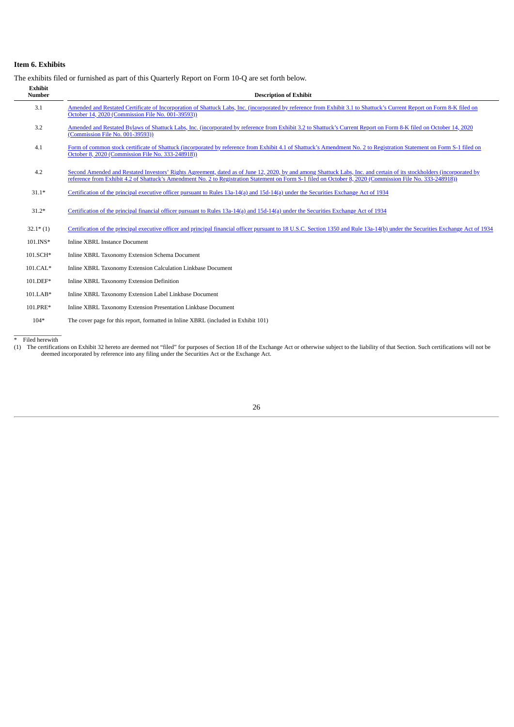# **Item 6. Exhibits**

The exhibits filed or furnished as part of this Quarterly Report on Form 10-Q are set forth below.

| <b>Exhibit</b><br><b>Number</b> | <b>Description of Exhibit</b>                                                                                                                                                                                                                                                                                                      |
|---------------------------------|------------------------------------------------------------------------------------------------------------------------------------------------------------------------------------------------------------------------------------------------------------------------------------------------------------------------------------|
| 3.1                             | Amended and Restated Certificate of Incorporation of Shattuck Labs, Inc. (incorporated by reference from Exhibit 3.1 to Shattuck's Current Report on Form 8-K filed on<br>October 14, 2020 (Commission File No. 001-39593))                                                                                                        |
| 3.2                             | Amended and Restated Bylaws of Shattuck Labs, Inc. (incorporated by reference from Exhibit 3.2 to Shattuck's Current Report on Form 8-K filed on October 14, 2020<br>(Commission File No. 001-39593))                                                                                                                              |
| 4.1                             | Form of common stock certificate of Shattuck (incorporated by reference from Exhibit 4.1 of Shattuck's Amendment No. 2 to Registration Statement on Form S-1 filed on<br>October 8, 2020 (Commission File No. 333-248918))                                                                                                         |
| 4.2                             | Second Amended and Restated Investors' Rights Agreement, dated as of June 12, 2020, by and among Shattuck Labs, Inc. and certain of its stockholders (incorporated by<br>reference from Exhibit 4.2 of Shattuck's Amendment No. 2 to Registration Statement on Form S-1 filed on October 8, 2020 (Commission File No. 333-248918)) |
| $31.1*$                         | Certification of the principal executive officer pursuant to Rules 13a-14(a) and 15d-14(a) under the Securities Exchange Act of 1934                                                                                                                                                                                               |
| $31.2*$                         | Certification of the principal financial officer pursuant to Rules 13a-14(a) and 15d-14(a) under the Securities Exchange Act of 1934                                                                                                                                                                                               |
| $32.1*$ (1)                     | Certification of the principal executive officer and principal financial officer pursuant to 18 U.S.C. Section 1350 and Rule 13a-14(b) under the Securities Exchange Act of 1934                                                                                                                                                   |
| 101.INS*                        | <b>Inline XBRL Instance Document</b>                                                                                                                                                                                                                                                                                               |
| 101.SCH*                        | Inline XBRL Taxonomy Extension Schema Document                                                                                                                                                                                                                                                                                     |
| $101.CAL*$                      | Inline XBRL Taxonomy Extension Calculation Linkbase Document                                                                                                                                                                                                                                                                       |
| $101.DEF*$                      | Inline XBRL Taxonomy Extension Definition                                                                                                                                                                                                                                                                                          |
| $101.LAB*$                      | Inline XBRL Taxonomy Extension Label Linkbase Document                                                                                                                                                                                                                                                                             |
| 101.PRE*                        | Inline XBRL Taxonomy Extension Presentation Linkbase Document                                                                                                                                                                                                                                                                      |
| $104*$                          | The cover page for this report, formatted in Inline XBRL (included in Exhibit 101)                                                                                                                                                                                                                                                 |

<span id="page-29-0"></span>

\* Filed herewith<br>(1) The certifications on Exhibit 32 hereto are deemed not "filed" for purposes of Section 18 of the Exchange Act or otherwise subject to the liability of that Section. Such certifications will not be<br>deem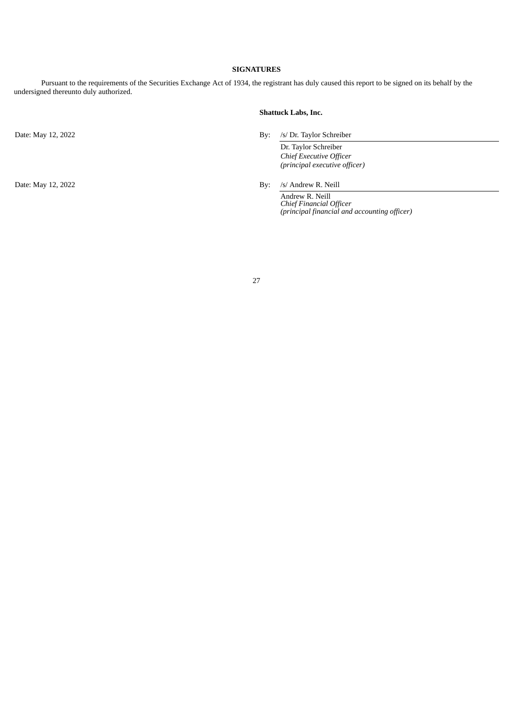# **SIGNATURES**

Pursuant to the requirements of the Securities Exchange Act of 1934, the registrant has duly caused this report to be signed on its behalf by the undersigned thereunto duly authorized.

# **Shattuck Labs, Inc.**

Date: May 12, 2022 By: /s/ Dr. Taylor Schreiber

Dr. Taylor Schreiber *Chief Executive Officer (principal executive officer)*

Date: May 12, 2022 By: /s/ Andrew R. Neill

Andrew R. Neill *Chief Financial Officer (principal financial and accounting officer)*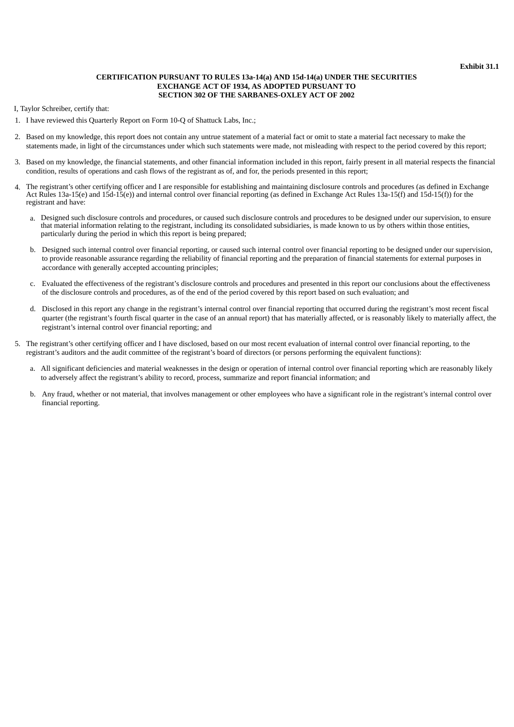### **CERTIFICATION PURSUANT TO RULES 13a-14(a) AND 15d-14(a) UNDER THE SECURITIES EXCHANGE ACT OF 1934, AS ADOPTED PURSUANT TO SECTION 302 OF THE SARBANES-OXLEY ACT OF 2002**

<span id="page-31-0"></span>I, Taylor Schreiber, certify that:

- 1. I have reviewed this Quarterly Report on Form 10-Q of Shattuck Labs, Inc.;
- 2. Based on my knowledge, this report does not contain any untrue statement of a material fact or omit to state a material fact necessary to make the statements made, in light of the circumstances under which such statements were made, not misleading with respect to the period covered by this report;
- 3. Based on my knowledge, the financial statements, and other financial information included in this report, fairly present in all material respects the financial condition, results of operations and cash flows of the registrant as of, and for, the periods presented in this report;
- 4. The registrant's other certifying officer and I are responsible for establishing and maintaining disclosure controls and procedures (as defined in Exchange Act Rules 13a-15(e) and 15d-15(e)) and internal control over financial reporting (as defined in Exchange Act Rules 13a-15(f) and 15d-15(f)) for the registrant and have:
	- a. Designed such disclosure controls and procedures, or caused such disclosure controls and procedures to be designed under our supervision, to ensure that material information relating to the registrant, including its consolidated subsidiaries, is made known to us by others within those entities, particularly during the period in which this report is being prepared;
	- b. Designed such internal control over financial reporting, or caused such internal control over financial reporting to be designed under our supervision, to provide reasonable assurance regarding the reliability of financial reporting and the preparation of financial statements for external purposes in accordance with generally accepted accounting principles;
	- c. Evaluated the effectiveness of the registrant's disclosure controls and procedures and presented in this report our conclusions about the effectiveness of the disclosure controls and procedures, as of the end of the period covered by this report based on such evaluation; and
	- d. Disclosed in this report any change in the registrant's internal control over financial reporting that occurred during the registrant's most recent fiscal quarter (the registrant's fourth fiscal quarter in the case of an annual report) that has materially affected, or is reasonably likely to materially affect, the registrant's internal control over financial reporting; and
- 5. The registrant's other certifying officer and I have disclosed, based on our most recent evaluation of internal control over financial reporting, to the registrant's auditors and the audit committee of the registrant's board of directors (or persons performing the equivalent functions):
	- a. All significant deficiencies and material weaknesses in the design or operation of internal control over financial reporting which are reasonably likely to adversely affect the registrant's ability to record, process, summarize and report financial information; and
	- b. Any fraud, whether or not material, that involves management or other employees who have a significant role in the registrant's internal control over financial reporting.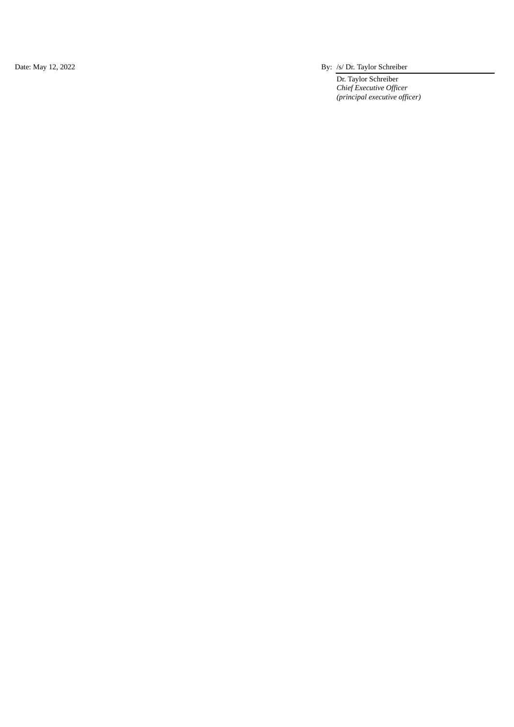Date: May 12, 2022

By: /s/ Dr. Taylor Schreiber

Dr. Taylor Schreiber *Chief* Executive Officer (*principal executive officer*)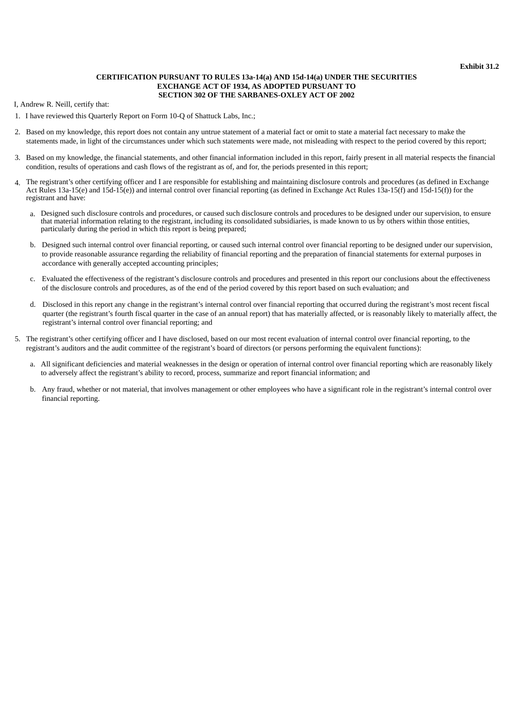### **CERTIFICATION PURSUANT TO RULES 13a-14(a) AND 15d-14(a) UNDER THE SECURITIES EXCHANGE ACT OF 1934, AS ADOPTED PURSUANT TO SECTION 302 OF THE SARBANES-OXLEY ACT OF 2002**

<span id="page-33-0"></span>I, Andrew R. Neill, certify that:

- 1. I have reviewed this Quarterly Report on Form 10-Q of Shattuck Labs, Inc.;
- 2. Based on my knowledge, this report does not contain any untrue statement of a material fact or omit to state a material fact necessary to make the statements made, in light of the circumstances under which such statements were made, not misleading with respect to the period covered by this report;
- 3. Based on my knowledge, the financial statements, and other financial information included in this report, fairly present in all material respects the financial condition, results of operations and cash flows of the registrant as of, and for, the periods presented in this report;
- 4. The registrant's other certifying officer and I are responsible for establishing and maintaining disclosure controls and procedures (as defined in Exchange Act Rules 13a-15(e) and 15d-15(e)) and internal control over financial reporting (as defined in Exchange Act Rules 13a-15(f) and 15d-15(f)) for the registrant and have:
	- a. Designed such disclosure controls and procedures, or caused such disclosure controls and procedures to be designed under our supervision, to ensure that material information relating to the registrant, including its consolidated subsidiaries, is made known to us by others within those entities, particularly during the period in which this report is being prepared;
	- b. Designed such internal control over financial reporting, or caused such internal control over financial reporting to be designed under our supervision, to provide reasonable assurance regarding the reliability of financial reporting and the preparation of financial statements for external purposes in accordance with generally accepted accounting principles;
	- c. Evaluated the effectiveness of the registrant's disclosure controls and procedures and presented in this report our conclusions about the effectiveness of the disclosure controls and procedures, as of the end of the period covered by this report based on such evaluation; and
	- d. Disclosed in this report any change in the registrant's internal control over financial reporting that occurred during the registrant's most recent fiscal quarter (the registrant's fourth fiscal quarter in the case of an annual report) that has materially affected, or is reasonably likely to materially affect, the registrant's internal control over financial reporting; and
- 5. The registrant's other certifying officer and I have disclosed, based on our most recent evaluation of internal control over financial reporting, to the registrant's auditors and the audit committee of the registrant's board of directors (or persons performing the equivalent functions):
	- a. All significant deficiencies and material weaknesses in the design or operation of internal control over financial reporting which are reasonably likely to adversely affect the registrant's ability to record, process, summarize and report financial information; and
	- b. Any fraud, whether or not material, that involves management or other employees who have a significant role in the registrant's internal control over financial reporting.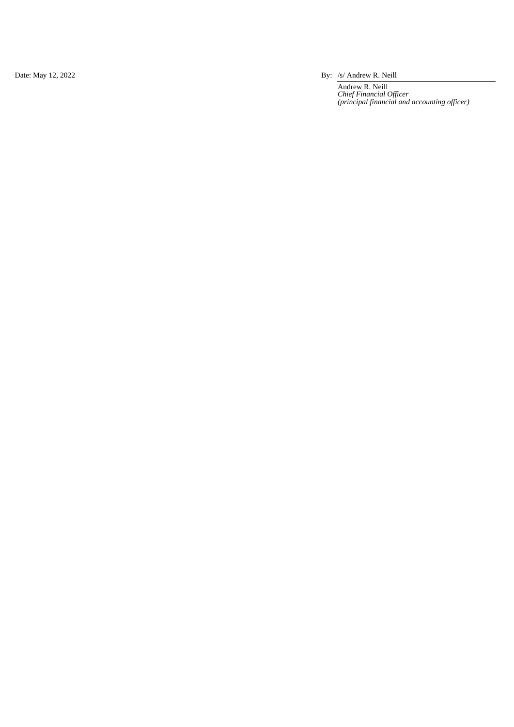Date: May 12, 2022

By: /s/ Andrew R. Neill

Andrew R. Neill *Chief Financial Officer* (principal financial and accounting officer)